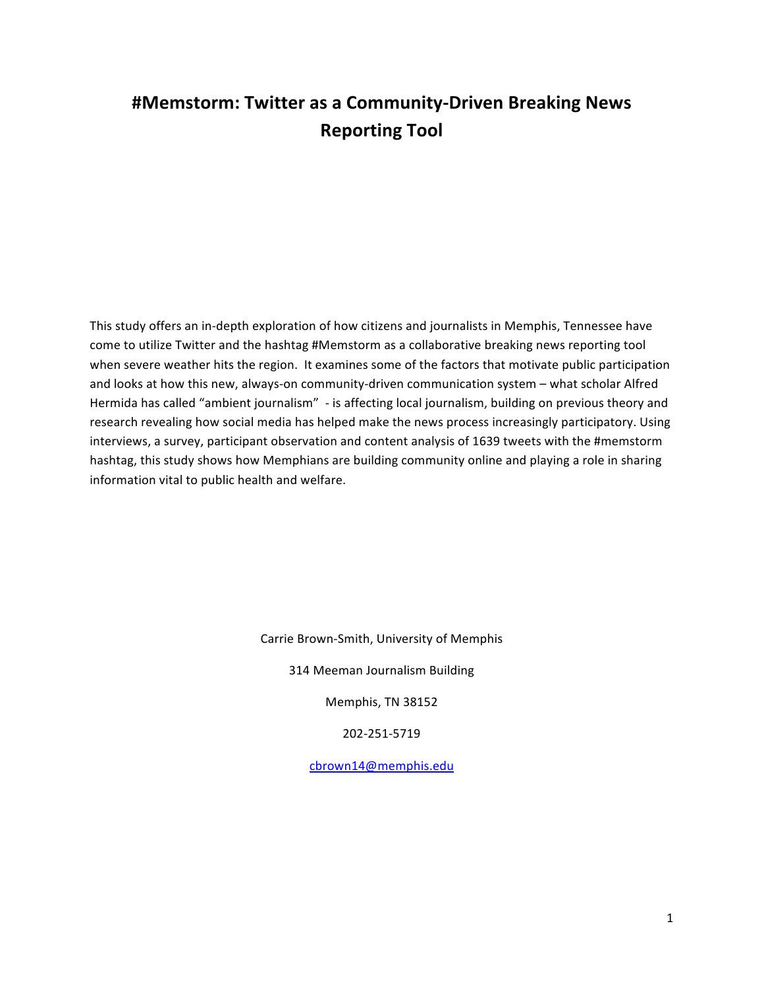# **#Memstorm: Twitter as a Community-Driven Breaking News Reporting Tool**

This study offers an in-depth exploration of how citizens and journalists in Memphis, Tennessee have come to utilize Twitter and the hashtag #Memstorm as a collaborative breaking news reporting tool when severe weather hits the region. It examines some of the factors that motivate public participation and looks at how this new, always-on community-driven communication system – what scholar Alfred Hermida has called "ambient journalism" - is affecting local journalism, building on previous theory and research revealing how social media has helped make the news process increasingly participatory. Using interviews, a survey, participant observation and content analysis of 1639 tweets with the #memstorm hashtag, this study shows how Memphians are building community online and playing a role in sharing information vital to public health and welfare.

Carrie Brown-Smith, University of Memphis

314 Meeman Journalism Building

Memphis, TN 38152

202-251-5719

cbrown14@memphis.edu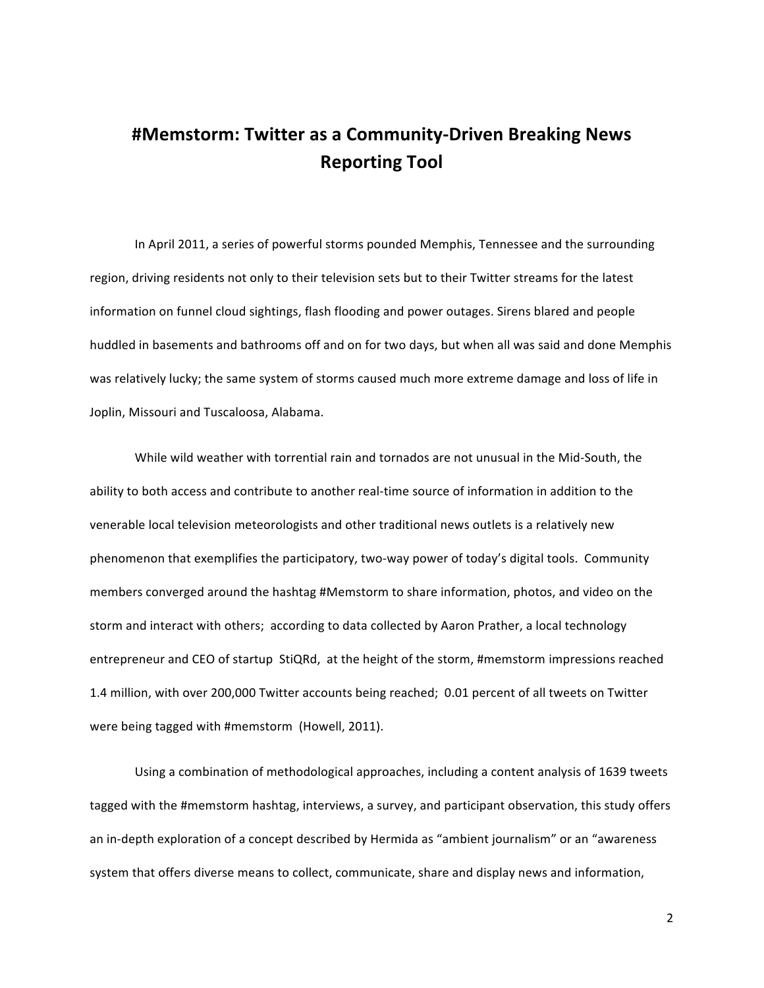# **#Memstorm: Twitter as a Community-Driven Breaking News Reporting\*Tool**

In April 2011, a series of powerful storms pounded Memphis, Tennessee and the surrounding region, driving residents not only to their television sets but to their Twitter streams for the latest information on funnel cloud sightings, flash flooding and power outages. Sirens blared and people huddled in basements and bathrooms off and on for two days, but when all was said and done Memphis was relatively lucky; the same system of storms caused much more extreme damage and loss of life in Joplin, Missouri and Tuscaloosa, Alabama.

While wild weather with torrential rain and tornados are not unusual in the Mid-South, the ability to both access and contribute to another real-time source of information in addition to the venerable local television meteorologists and other traditional news outlets is a relatively new phenomenon that exemplifies the participatory, two-way power of today's digital tools. Community members converged around the hashtag #Memstorm to share information, photos, and video on the storm and interact with others; according to data collected by Aaron Prather, a local technology entrepreneur and CEO of startup StiQRd, at the height of the storm, #memstorm impressions reached 1.4 million, with over 200,000 Twitter accounts being reached; 0.01 percent of all tweets on Twitter were being tagged with #memstorm (Howell, 2011).

Using a combination of methodological approaches, including a content analysis of 1639 tweets tagged with the #memstorm hashtag, interviews, a survey, and participant observation, this study offers an in-depth exploration of a concept described by Hermida as "ambient journalism" or an "awareness" system that offers diverse means to collect, communicate, share and display news and information,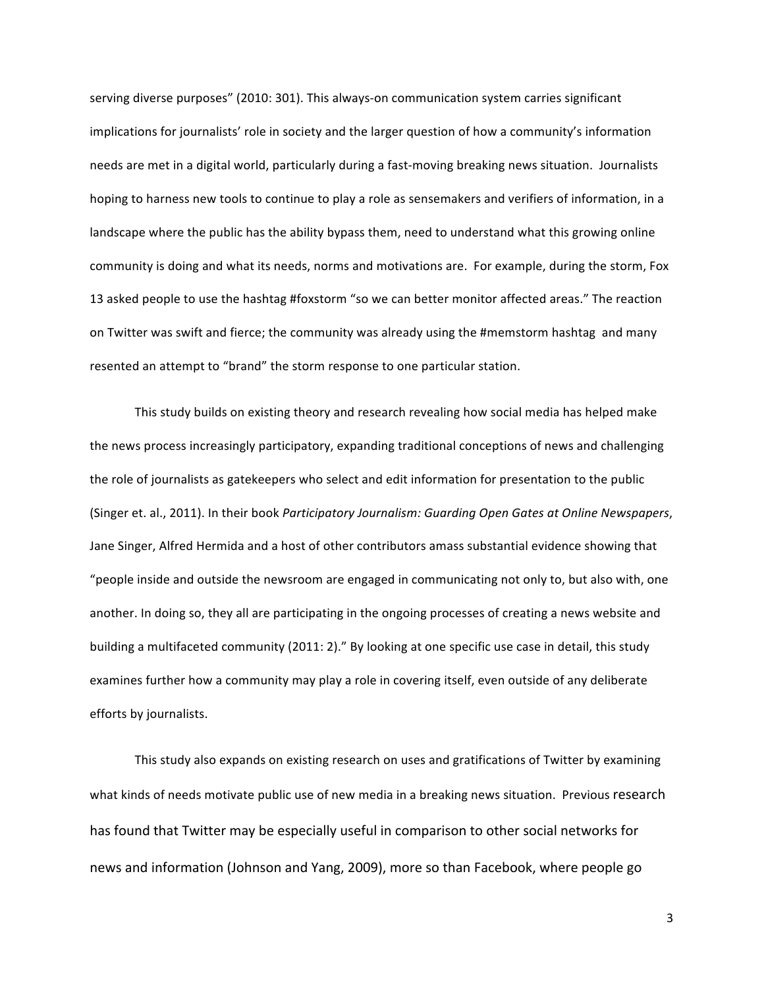serving diverse purposes" (2010: 301). This always-on communication system carries significant implications for journalists' role in society and the larger question of how a community's information needs are met in a digital world, particularly during a fast-moving breaking news situation. Journalists hoping to harness new tools to continue to play a role as sensemakers and verifiers of information, in a landscape where the public has the ability bypass them, need to understand what this growing online community is doing and what its needs, norms and motivations are. For example, during the storm, Fox 13 asked people to use the hashtag #foxstorm "so we can better monitor affected areas." The reaction on Twitter was swift and fierce; the community was already using the #memstorm hashtag and many resented an attempt to "brand" the storm response to one particular station.

This study builds on existing theory and research revealing how social media has helped make the news process increasingly participatory, expanding traditional conceptions of news and challenging the role of journalists as gatekeepers who select and edit information for presentation to the public (Singer et. al., 2011). In their book *Participatory Journalism: Guarding Open Gates at Online Newspapers*, Jane Singer, Alfred Hermida and a host of other contributors amass substantial evidence showing that "people inside and outside the newsroom are engaged in communicating not only to, but also with, one another. In doing so, they all are participating in the ongoing processes of creating a news website and building a multifaceted community (2011: 2)." By looking at one specific use case in detail, this study examines further how a community may play a role in covering itself, even outside of any deliberate efforts by journalists.

This study also expands on existing research on uses and gratifications of Twitter by examining what kinds of needs motivate public use of new media in a breaking news situation. Previous research has found that Twitter may be especially useful in comparison to other social networks for news and information (Johnson and Yang, 2009), more so than Facebook, where people go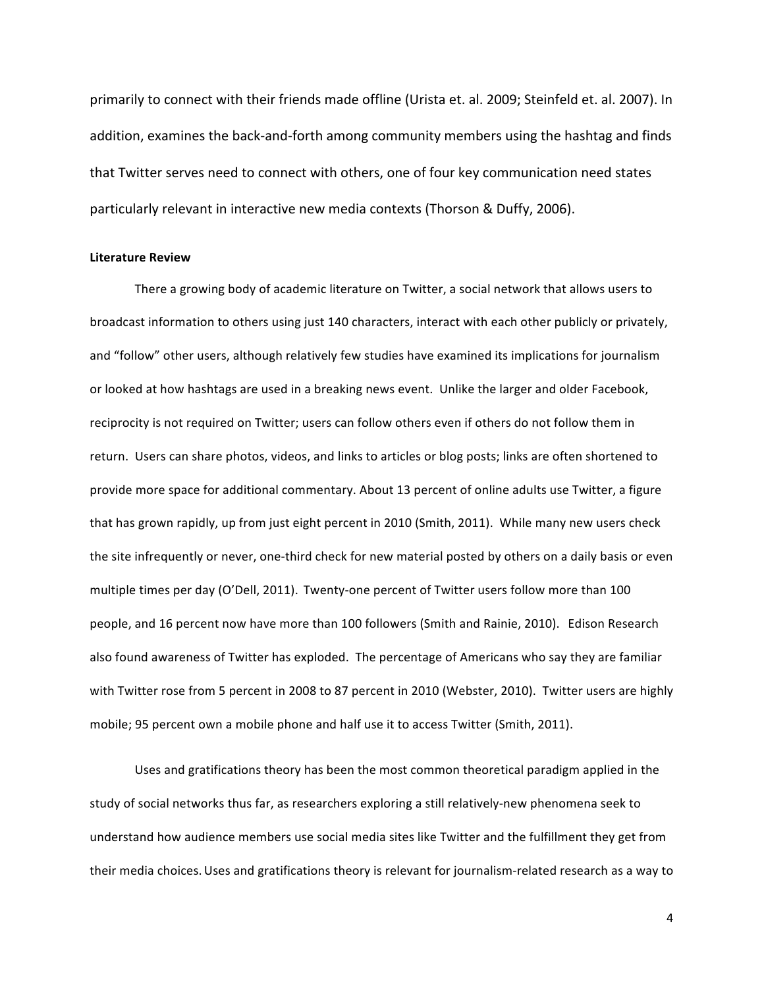primarily to connect with their friends made offline (Urista et. al. 2009; Steinfeld et. al. 2007). In addition, examines the back-and-forth among community members using the hashtag and finds that Twitter serves need to connect with others, one of four key communication need states particularly relevant in interactive new media contexts (Thorson & Duffy, 2006).

### **Literature Review**

There a growing body of academic literature on Twitter, a social network that allows users to broadcast information to others using just 140 characters, interact with each other publicly or privately, and "follow" other users, although relatively few studies have examined its implications for journalism or looked at how hashtags are used in a breaking news event. Unlike the larger and older Facebook, reciprocity is not required on Twitter; users can follow others even if others do not follow them in return. Users can share photos, videos, and links to articles or blog posts; links are often shortened to provide more space for additional commentary. About 13 percent of online adults use Twitter, a figure that has grown rapidly, up from just eight percent in 2010 (Smith, 2011). While many new users check the site infrequently or never, one-third check for new material posted by others on a daily basis or even multiple times per day (O'Dell, 2011). Twenty-one percent of Twitter users follow more than 100 people, and 16 percent now have more than 100 followers (Smith and Rainie, 2010). Edison Research also found awareness of Twitter has exploded. The percentage of Americans who say they are familiar with Twitter rose from 5 percent in 2008 to 87 percent in 2010 (Webster, 2010). Twitter users are highly mobile; 95 percent own a mobile phone and half use it to access Twitter (Smith, 2011).

Uses and gratifications theory has been the most common theoretical paradigm applied in the study of social networks thus far, as researchers exploring a still relatively-new phenomena seek to understand how audience members use social media sites like Twitter and the fulfillment they get from their media choices. Uses and gratifications theory is relevant for journalism-related research as a way to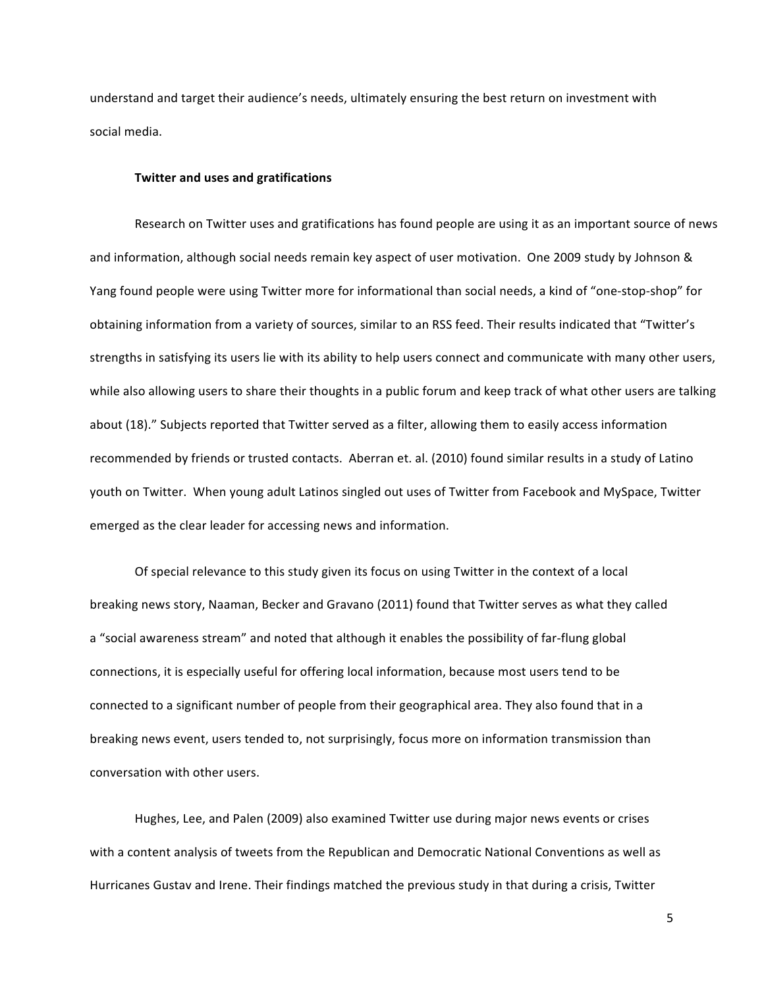understand and target their audience's needs, ultimately ensuring the best return on investment with social media.

## **Twitter and uses and gratifications**

Research on Twitter uses and gratifications has found people are using it as an important source of news" and information, although social needs remain key aspect of user motivation. One 2009 study by Johnson & Yang found people were using Twitter more for informational than social needs, a kind of "one-stop-shop" for obtaining information from a variety of sources, similar to an RSS feed. Their results indicated that "Twitter's strengths in satisfying its users lie with its ability to help users connect and communicate with many other users, while also allowing users to share their thoughts in a public forum and keep track of what other users are talking about (18)." Subjects reported that Twitter served as a filter, allowing them to easily access information recommended by friends or trusted contacts. Aberran et. al. (2010) found similar results in a study of Latino youth on Twitter. When young adult Latinos singled out uses of Twitter from Facebook and MySpace, Twitter emerged as the clear leader for accessing news and information.

Of special relevance to this study given its focus on using Twitter in the context of a local breaking news story, Naaman, Becker and Gravano (2011) found that Twitter serves as what they called a "social awareness stream" and noted that although it enables the possibility of far-flung global connections, it is especially useful for offering local information, because most users tend to be connected to a significant number of people from their geographical area. They also found that in a breaking news event, users tended to, not surprisingly, focus more on information transmission than conversation with other users.

Hughes, Lee, and Palen (2009) also examined Twitter use during major news events or crises with a content analysis of tweets from the Republican and Democratic National Conventions as well as Hurricanes Gustav and Irene. Their findings matched the previous study in that during a crisis, Twitter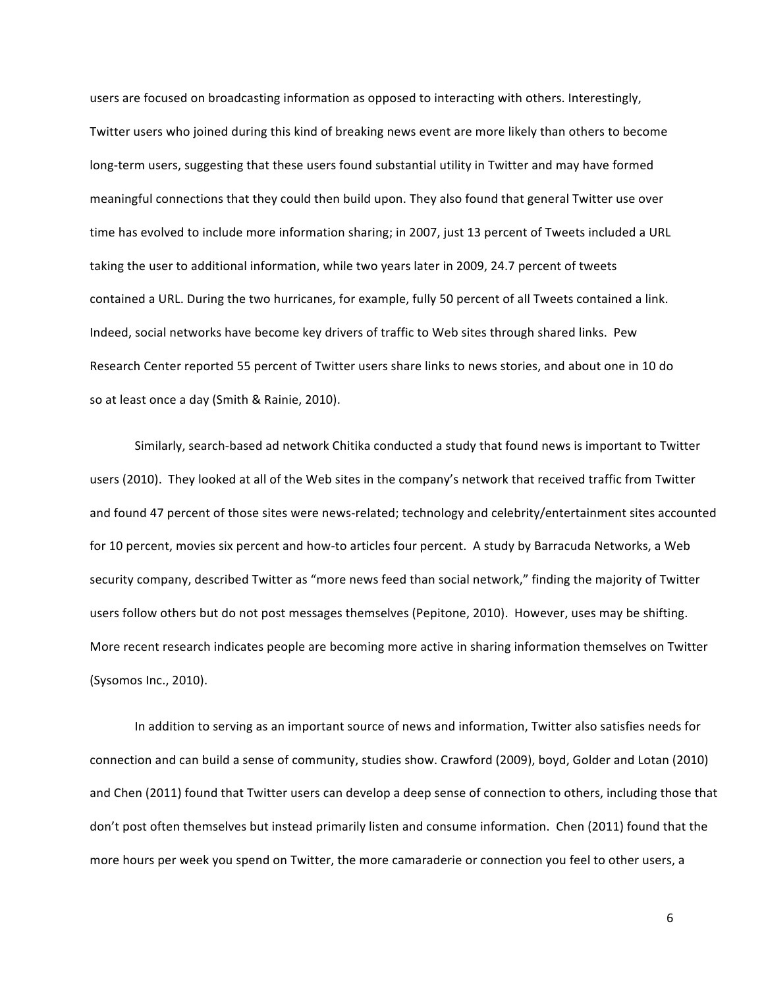users are focused on broadcasting information as opposed to interacting with others. Interestingly, Twitter users who joined during this kind of breaking news event are more likely than others to become long-term users, suggesting that these users found substantial utility in Twitter and may have formed meaningful connections that they could then build upon. They also found that general Twitter use over time has evolved to include more information sharing; in 2007, just 13 percent of Tweets included a URL taking the user to additional information, while two years later in 2009, 24.7 percent of tweets contained a URL. During the two hurricanes, for example, fully 50 percent of all Tweets contained a link. Indeed, social networks have become key drivers of traffic to Web sites through shared links. Pew Research Center reported 55 percent of Twitter users share links to news stories, and about one in 10 do so at least once a day (Smith & Rainie, 2010).

Similarly, search-based ad network Chitika conducted a study that found news is important to Twitter users (2010). They looked at all of the Web sites in the company's network that received traffic from Twitter and found 47 percent of those sites were news-related; technology and celebrity/entertainment sites accounted for 10 percent, movies six percent and how-to articles four percent. A study by Barracuda Networks, a Web security company, described Twitter as "more news feed than social network," finding the majority of Twitter users follow others but do not post messages themselves (Pepitone, 2010). However, uses may be shifting. More recent research indicates people are becoming more active in sharing information themselves on Twitter (Sysomos Inc., 2010).

In addition to serving as an important source of news and information, Twitter also satisfies needs for connection and can build a sense of community, studies show. Crawford (2009), boyd, Golder and Lotan (2010) and Chen (2011) found that Twitter users can develop a deep sense of connection to others, including those that don't post often themselves but instead primarily listen and consume information. Chen (2011) found that the more hours per week you spend on Twitter, the more camaraderie or connection you feel to other users, a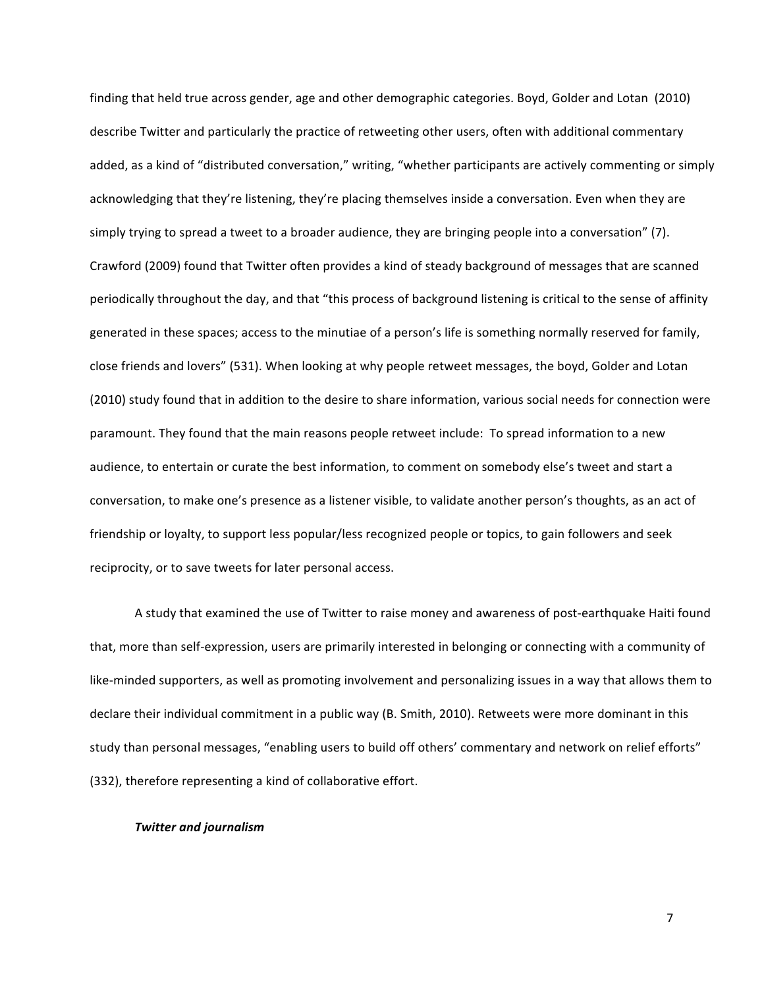finding that held true across gender, age and other demographic categories. Boyd, Golder and Lotan (2010) describe Twitter and particularly the practice of retweeting other users, often with additional commentary added, as a kind of "distributed conversation," writing, "whether participants are actively commenting or simply acknowledging that they're listening, they're placing themselves inside a conversation. Even when they are simply trying to spread a tweet to a broader audience, they are bringing people into a conversation" (7). Crawford (2009) found that Twitter often provides a kind of steady background of messages that are scanned periodically throughout the day, and that "this process of background listening is critical to the sense of affinity generated in these spaces; access to the minutiae of a person's life is something normally reserved for family, close friends and lovers" (531). When looking at why people retweet messages, the boyd, Golder and Lotan (2010) study found that in addition to the desire to share information, various social needs for connection were paramount. They found that the main reasons people retweet include: To spread information to a new audience, to entertain or curate the best information, to comment on somebody else's tweet and start a conversation, to make one's presence as a listener visible, to validate another person's thoughts, as an act of friendship or loyalty, to support less popular/less recognized people or topics, to gain followers and seek reciprocity, or to save tweets for later personal access.

A study that examined the use of Twitter to raise money and awareness of post-earthquake Haiti found that, more than self-expression, users are primarily interested in belonging or connecting with a community of like-minded supporters, as well as promoting involvement and personalizing issues in a way that allows them to declare their individual commitment in a public way (B. Smith, 2010). Retweets were more dominant in this study than personal messages, "enabling users to build off others' commentary and network on relief efforts" (332), therefore representing a kind of collaborative effort.

## *Twitter'and'journalism*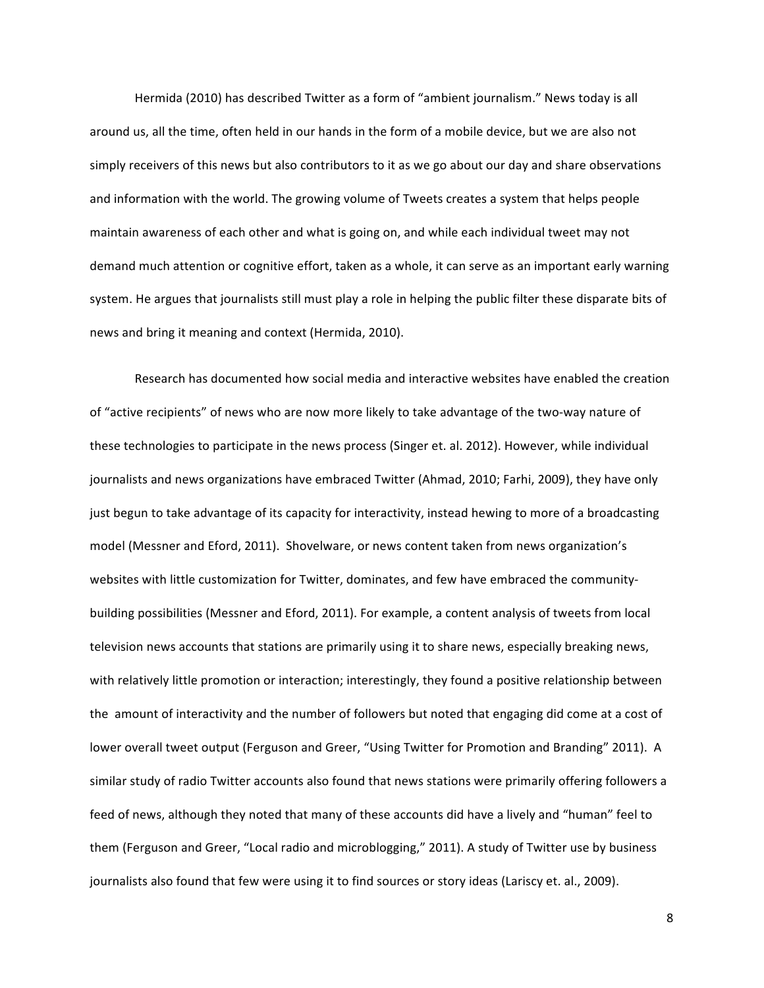Hermida (2010) has described Twitter as a form of "ambient journalism." News today is all around us, all the time, often held in our hands in the form of a mobile device, but we are also not simply receivers of this news but also contributors to it as we go about our day and share observations and information with the world. The growing volume of Tweets creates a system that helps people maintain awareness of each other and what is going on, and while each individual tweet may not demand much attention or cognitive effort, taken as a whole, it can serve as an important early warning system. He argues that journalists still must play a role in helping the public filter these disparate bits of news and bring it meaning and context (Hermida, 2010).

Research has documented how social media and interactive websites have enabled the creation of "active recipients" of news who are now more likely to take advantage of the two-way nature of these technologies to participate in the news process (Singer et. al. 2012). However, while individual journalists and news organizations have embraced Twitter (Ahmad, 2010; Farhi, 2009), they have only just begun to take advantage of its capacity for interactivity, instead hewing to more of a broadcasting model (Messner and Eford, 2011). Shovelware, or news content taken from news organization's websites with little customization for Twitter, dominates, and few have embraced the communitybuilding possibilities (Messner and Eford, 2011). For example, a content analysis of tweets from local television news accounts that stations are primarily using it to share news, especially breaking news, with relatively little promotion or interaction; interestingly, they found a positive relationship between the amount of interactivity and the number of followers but noted that engaging did come at a cost of lower overall tweet output (Ferguson and Greer, "Using Twitter for Promotion and Branding" 2011). A similar study of radio Twitter accounts also found that news stations were primarily offering followers a feed of news, although they noted that many of these accounts did have a lively and "human" feel to them (Ferguson and Greer, "Local radio and microblogging," 2011). A study of Twitter use by business journalists also found that few were using it to find sources or story ideas (Lariscy et. al., 2009).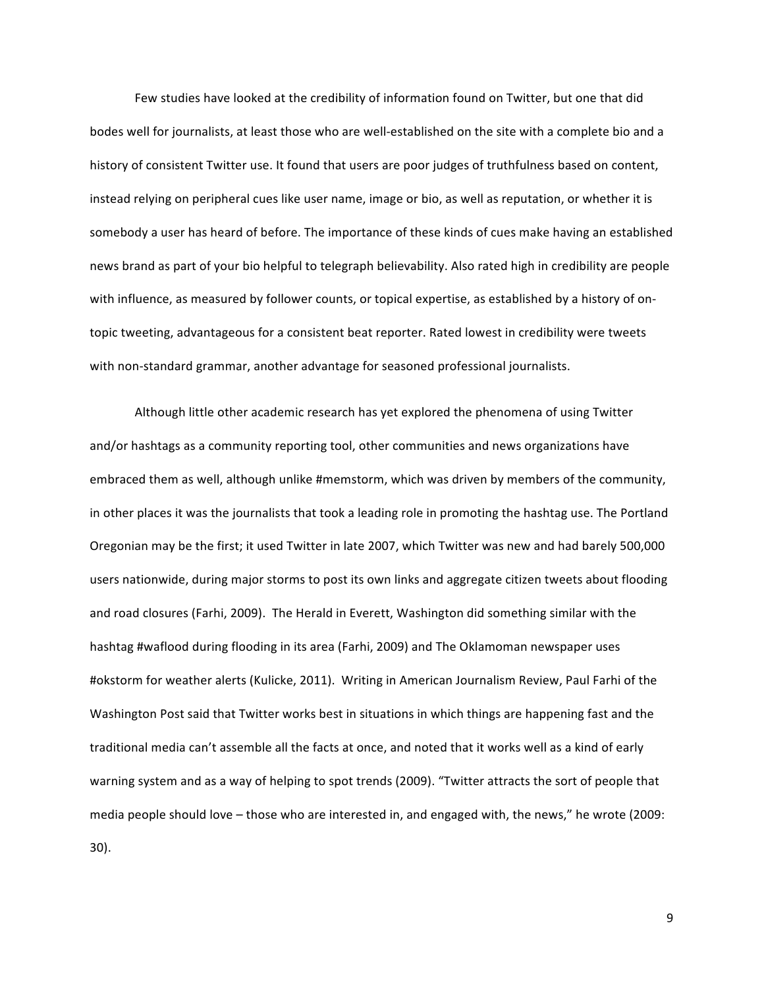Few studies have looked at the credibility of information found on Twitter, but one that did bodes well for journalists, at least those who are well-established on the site with a complete bio and a history of consistent Twitter use. It found that users are poor judges of truthfulness based on content, instead relying on peripheral cues like user name, image or bio, as well as reputation, or whether it is somebody a user has heard of before. The importance of these kinds of cues make having an established news brand as part of your bio helpful to telegraph believability. Also rated high in credibility are people with influence, as measured by follower counts, or topical expertise, as established by a history of ontopic tweeting, advantageous for a consistent beat reporter. Rated lowest in credibility were tweets with non-standard grammar, another advantage for seasoned professional journalists.

Although little other academic research has yet explored the phenomena of using Twitter and/or hashtags as a community reporting tool, other communities and news organizations have embraced them as well, although unlike #memstorm, which was driven by members of the community, in other places it was the journalists that took a leading role in promoting the hashtag use. The Portland Oregonian may be the first; it used Twitter in late 2007, which Twitter was new and had barely 500,000 users nationwide, during major storms to post its own links and aggregate citizen tweets about flooding and road closures (Farhi, 2009). The Herald in Everett, Washington did something similar with the hashtag #waflood during flooding in its area (Farhi, 2009) and The Oklamoman newspaper uses #okstorm for weather alerts (Kulicke, 2011). Writing in American Journalism Review, Paul Farhi of the Washington Post said that Twitter works best in situations in which things are happening fast and the traditional media can't assemble all the facts at once, and noted that it works well as a kind of early warning system and as a way of helping to spot trends (2009). "Twitter attracts the sort of people that media people should love – those who are interested in, and engaged with, the news," he wrote (2009: 30).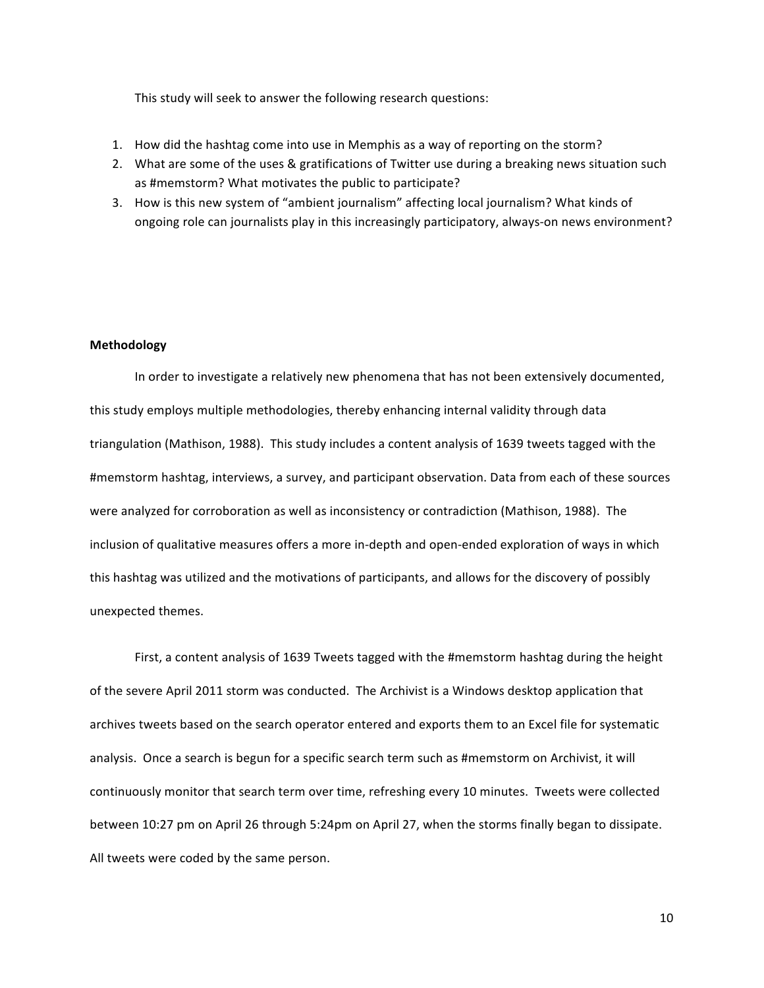This study will seek to answer the following research questions:

- 1. How did the hashtag come into use in Memphis as a way of reporting on the storm?
- 2. What are some of the uses & gratifications of Twitter use during a breaking news situation such as #memstorm? What motivates the public to participate?
- 3. How is this new system of "ambient journalism" affecting local journalism? What kinds of ongoing role can journalists play in this increasingly participatory, always-on news environment?

#### **Methodology**

In order to investigate a relatively new phenomena that has not been extensively documented, this study employs multiple methodologies, thereby enhancing internal validity through data triangulation (Mathison, 1988). This study includes a content analysis of 1639 tweets tagged with the #memstorm hashtag, interviews, a survey, and participant observation. Data from each of these sources were analyzed for corroboration as well as inconsistency or contradiction (Mathison, 1988). The inclusion of qualitative measures offers a more in-depth and open-ended exploration of ways in which this hashtag was utilized and the motivations of participants, and allows for the discovery of possibly unexpected themes.

First, a content analysis of 1639 Tweets tagged with the #memstorm hashtag during the height of the severe April 2011 storm was conducted. The Archivist is a Windows desktop application that archives tweets based on the search operator entered and exports them to an Excel file for systematic analysis. Once a search is begun for a specific search term such as #memstorm on Archivist, it will continuously monitor that search term over time, refreshing every 10 minutes. Tweets were collected between 10:27 pm on April 26 through 5:24pm on April 27, when the storms finally began to dissipate. All tweets were coded by the same person.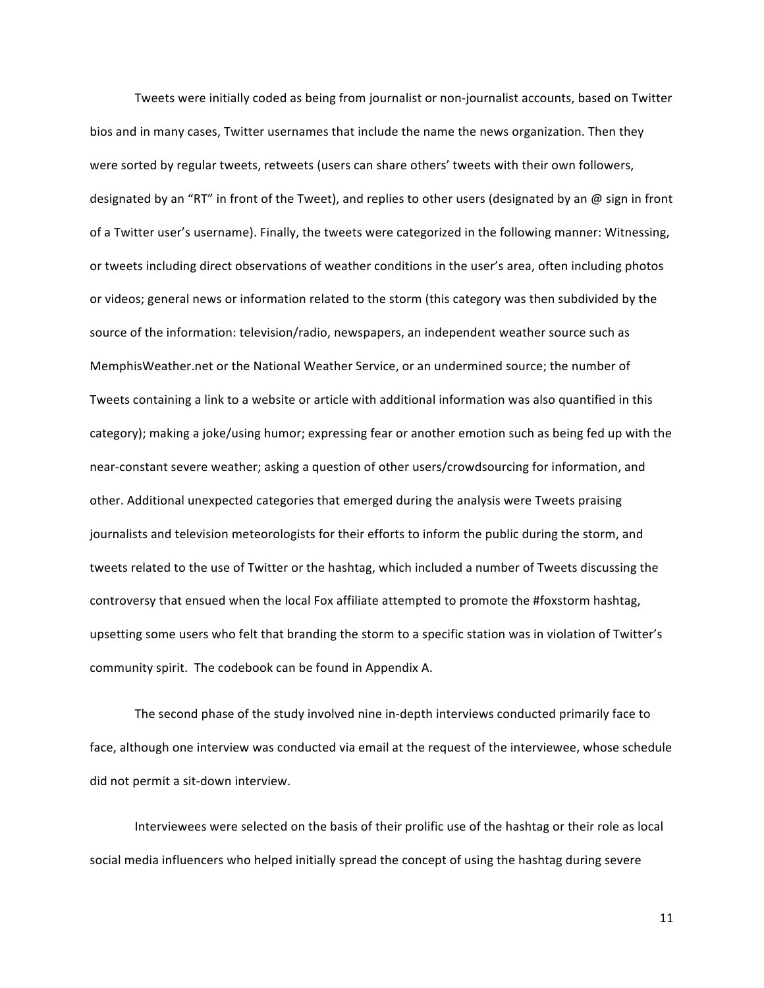Tweets were initially coded as being from journalist or non-journalist accounts, based on Twitter bios and in many cases, Twitter usernames that include the name the news organization. Then they were sorted by regular tweets, retweets (users can share others' tweets with their own followers, designated by an "RT" in front of the Tweet), and replies to other users (designated by an @ sign in front of a Twitter user's username). Finally, the tweets were categorized in the following manner: Witnessing, or tweets including direct observations of weather conditions in the user's area, often including photos or videos; general news or information related to the storm (this category was then subdivided by the source of the information: television/radio, newspapers, an independent weather source such as MemphisWeather.net or the National Weather Service, or an undermined source; the number of Tweets containing a link to a website or article with additional information was also quantified in this category); making a joke/using humor; expressing fear or another emotion such as being fed up with the near-constant severe weather; asking a question of other users/crowdsourcing for information, and other. Additional unexpected categories that emerged during the analysis were Tweets praising journalists and television meteorologists for their efforts to inform the public during the storm, and tweets related to the use of Twitter or the hashtag, which included a number of Tweets discussing the controversy that ensued when the local Fox affiliate attempted to promote the #foxstorm hashtag, upsetting some users who felt that branding the storm to a specific station was in violation of Twitter's community spirit. The codebook can be found in Appendix A.

The second phase of the study involved nine in-depth interviews conducted primarily face to face, although one interview was conducted via email at the request of the interviewee, whose schedule did not permit a sit-down interview.

Interviewees were selected on the basis of their prolific use of the hashtag or their role as local social media influencers who helped initially spread the concept of using the hashtag during severe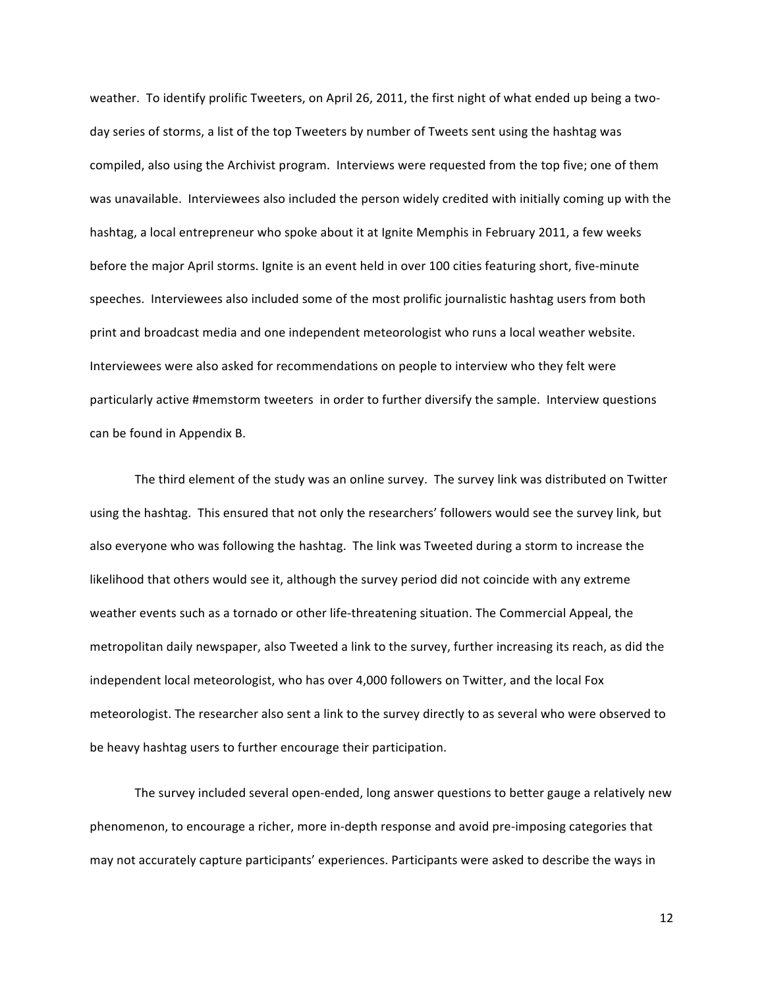weather. To identify prolific Tweeters, on April 26, 2011, the first night of what ended up being a twoday series of storms, a list of the top Tweeters by number of Tweets sent using the hashtag was compiled, also using the Archivist program. Interviews were requested from the top five; one of them was unavailable. Interviewees also included the person widely credited with initially coming up with the hashtag, a local entrepreneur who spoke about it at Ignite Memphis in February 2011, a few weeks before the major April storms. Ignite is an event held in over 100 cities featuring short, five-minute speeches. Interviewees also included some of the most prolific journalistic hashtag users from both print and broadcast media and one independent meteorologist who runs a local weather website. Interviewees were also asked for recommendations on people to interview who they felt were particularly active #memstorm tweeters in order to further diversify the sample. Interview questions can be found in Appendix B.

The third element of the study was an online survey. The survey link was distributed on Twitter using the hashtag. This ensured that not only the researchers' followers would see the survey link, but also everyone who was following the hashtag. The link was Tweeted during a storm to increase the likelihood that others would see it, although the survey period did not coincide with any extreme weather events such as a tornado or other life-threatening situation. The Commercial Appeal, the metropolitan daily newspaper, also Tweeted a link to the survey, further increasing its reach, as did the independent local meteorologist, who has over 4,000 followers on Twitter, and the local Fox meteorologist. The researcher also sent a link to the survey directly to as several who were observed to be heavy hashtag users to further encourage their participation.

The survey included several open-ended, long answer questions to better gauge a relatively new phenomenon, to encourage a richer, more in-depth response and avoid pre-imposing categories that may not accurately capture participants' experiences. Participants were asked to describe the ways in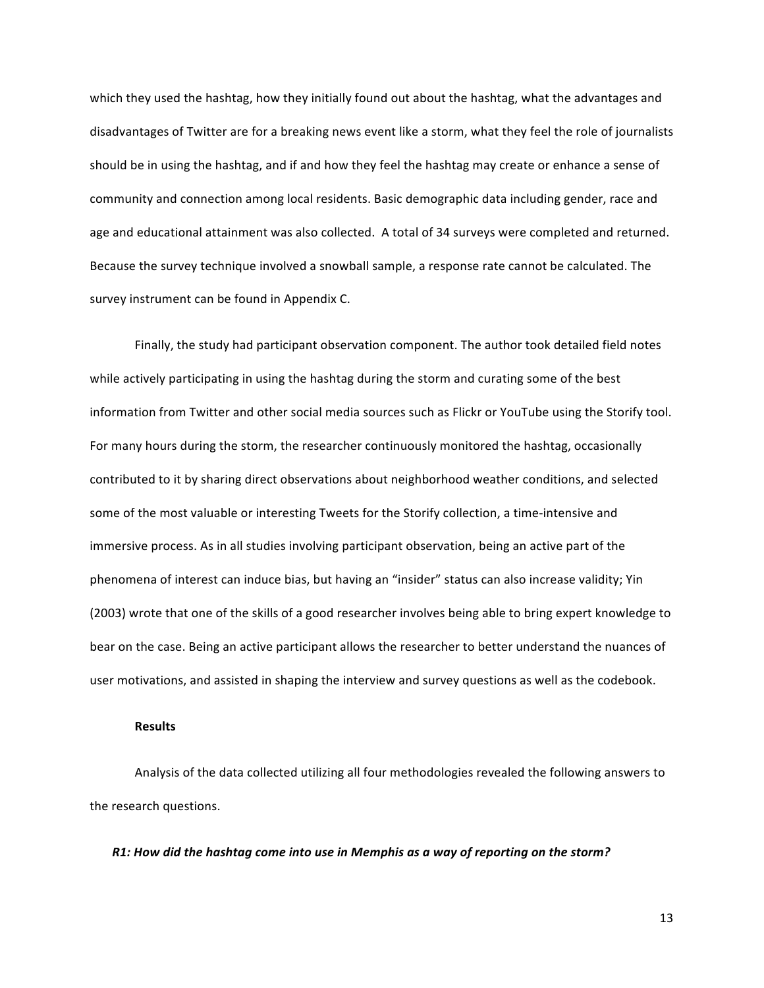which they used the hashtag, how they initially found out about the hashtag, what the advantages and disadvantages of Twitter are for a breaking news event like a storm, what they feel the role of journalists should be in using the hashtag, and if and how they feel the hashtag may create or enhance a sense of community and connection among local residents. Basic demographic data including gender, race and age and educational attainment was also collected. A total of 34 surveys were completed and returned. Because the survey technique involved a snowball sample, a response rate cannot be calculated. The survey instrument can be found in Appendix C.

Finally, the study had participant observation component. The author took detailed field notes while actively participating in using the hashtag during the storm and curating some of the best information from Twitter and other social media sources such as Flickr or YouTube using the Storify tool. For many hours during the storm, the researcher continuously monitored the hashtag, occasionally contributed to it by sharing direct observations about neighborhood weather conditions, and selected some of the most valuable or interesting Tweets for the Storify collection, a time-intensive and immersive process. As in all studies involving participant observation, being an active part of the phenomena of interest can induce bias, but having an "insider" status can also increase validity; Yin (2003) wrote that one of the skills of a good researcher involves being able to bring expert knowledge to bear on the case. Being an active participant allows the researcher to better understand the nuances of user motivations, and assisted in shaping the interview and survey questions as well as the codebook.

## **Results**

Analysis of the data collected utilizing all four methodologies revealed the following answers to the research questions.

*R1:'How'did'the'hashtag'come'into'use'in'Memphis'as'a'way'of'reporting'on'the'storm?*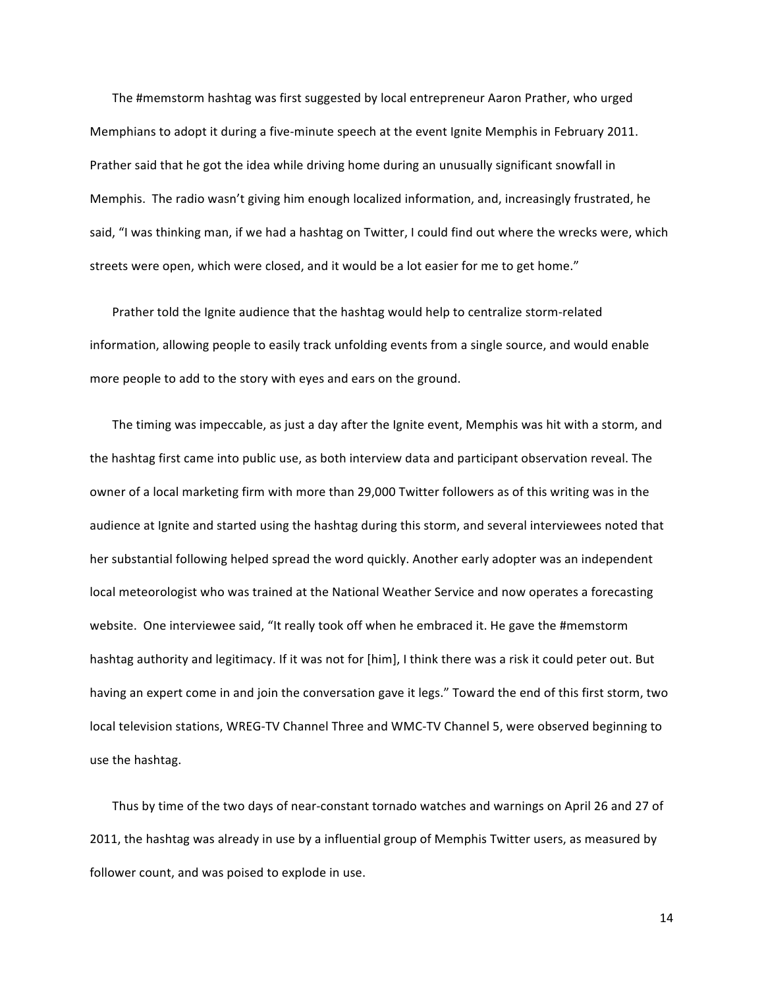The #memstorm hashtag was first suggested by local entrepreneur Aaron Prather, who urged Memphians to adopt it during a five-minute speech at the event Ignite Memphis in February 2011. Prather said that he got the idea while driving home during an unusually significant snowfall in Memphis. The radio wasn't giving him enough localized information, and, increasingly frustrated, he said, "I was thinking man, if we had a hashtag on Twitter, I could find out where the wrecks were, which streets were open, which were closed, and it would be a lot easier for me to get home."

Prather told the Ignite audience that the hashtag would help to centralize storm-related information, allowing people to easily track unfolding events from a single source, and would enable more people to add to the story with eyes and ears on the ground.

The timing was impeccable, as just a day after the Ignite event, Memphis was hit with a storm, and the hashtag first came into public use, as both interview data and participant observation reveal. The owner of a local marketing firm with more than 29,000 Twitter followers as of this writing was in the audience at Ignite and started using the hashtag during this storm, and several interviewees noted that her substantial following helped spread the word quickly. Another early adopter was an independent local meteorologist who was trained at the National Weather Service and now operates a forecasting website. One interviewee said, "It really took off when he embraced it. He gave the #memstorm hashtag authority and legitimacy. If it was not for [him], I think there was a risk it could peter out. But having an expert come in and join the conversation gave it legs." Toward the end of this first storm, two local television stations, WREG-TV Channel Three and WMC-TV Channel 5, were observed beginning to use the hashtag.

Thus by time of the two days of near-constant tornado watches and warnings on April 26 and 27 of 2011, the hashtag was already in use by a influential group of Memphis Twitter users, as measured by follower count, and was poised to explode in use.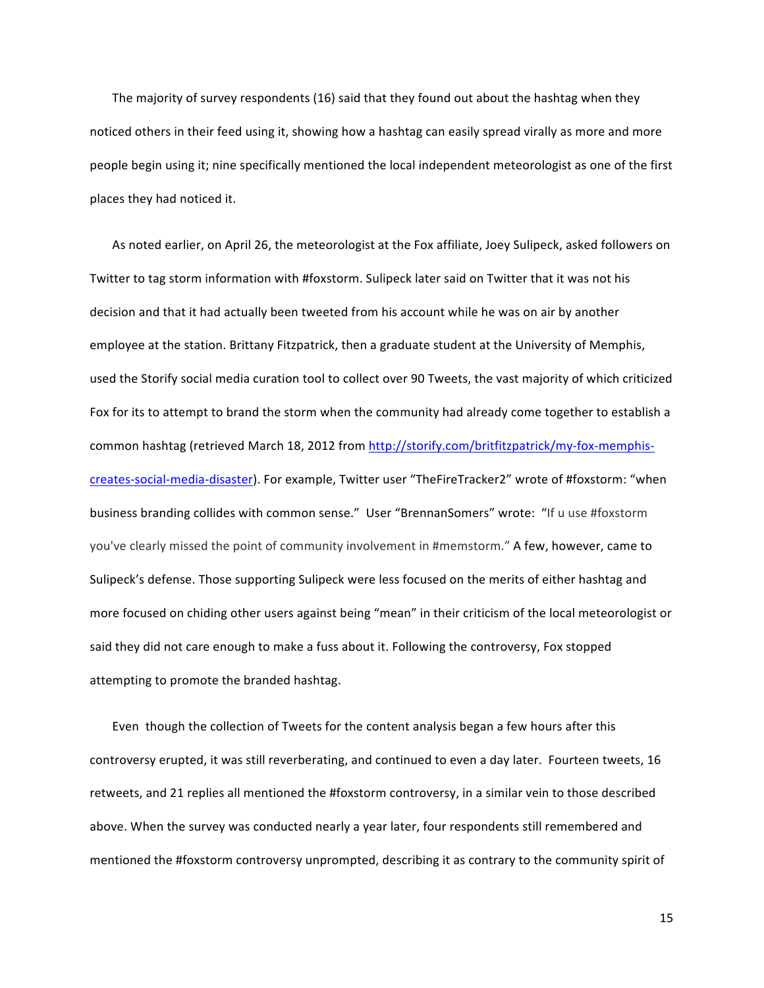The majority of survey respondents (16) said that they found out about the hashtag when they noticed others in their feed using it, showing how a hashtag can easily spread virally as more and more people begin using it; nine specifically mentioned the local independent meteorologist as one of the first places they had noticed it.

As noted earlier, on April 26, the meteorologist at the Fox affiliate, Joey Sulipeck, asked followers on Twitter to tag storm information with #foxstorm. Sulipeck later said on Twitter that it was not his decision and that it had actually been tweeted from his account while he was on air by another employee at the station. Brittany Fitzpatrick, then a graduate student at the University of Memphis, used the Storify social media curation tool to collect over 90 Tweets, the vast majority of which criticized Fox for its to attempt to brand the storm when the community had already come together to establish a common hashtag (retrieved March 18, 2012 from http://storify.com/britfitzpatrick/my-fox-memphiscreates-social-media-disaster). For example, Twitter user "TheFireTracker2" wrote of #foxstorm: "when business branding collides with common sense." User "BrennanSomers" wrote: "If u use #foxstorm you've clearly missed the point of community involvement in #memstorm." A few, however, came to Sulipeck's defense. Those supporting Sulipeck were less focused on the merits of either hashtag and more focused on chiding other users against being "mean" in their criticism of the local meteorologist or said they did not care enough to make a fuss about it. Following the controversy, Fox stopped attempting to promote the branded hashtag.

Even though the collection of Tweets for the content analysis began a few hours after this controversy erupted, it was still reverberating, and continued to even a day later. Fourteen tweets, 16 retweets, and 21 replies all mentioned the #foxstorm controversy, in a similar vein to those described above. When the survey was conducted nearly a year later, four respondents still remembered and mentioned the #foxstorm controversy unprompted, describing it as contrary to the community spirit of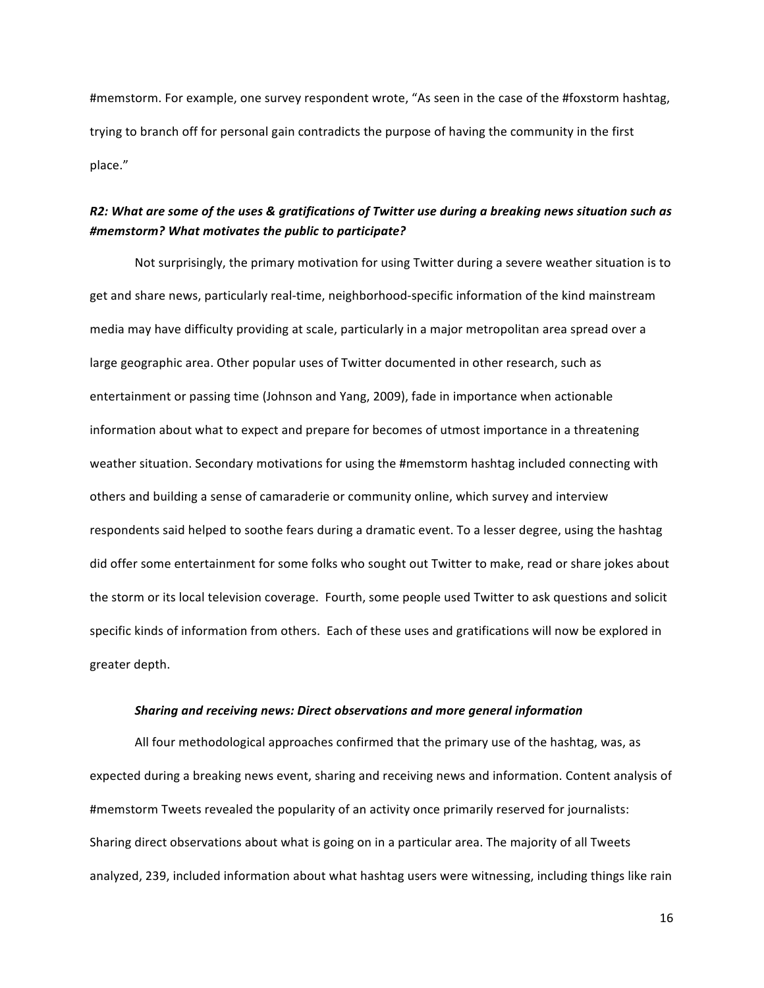#memstorm. For example, one survey respondent wrote, "As seen in the case of the #foxstorm hashtag, trying to branch off for personal gain contradicts the purpose of having the community in the first place."

# *R2:'What'are'some'of'the'uses'&'gratifications'of'Twitter'use'during'a'breaking'news'situation'such'as' #memstorm?'What'motivates'the'public'to'participate?'*

Not surprisingly, the primary motivation for using Twitter during a severe weather situation is to get and share news, particularly real-time, neighborhood-specific information of the kind mainstream media may have difficulty providing at scale, particularly in a major metropolitan area spread over a large geographic area. Other popular uses of Twitter documented in other research, such as entertainment or passing time (Johnson and Yang, 2009), fade in importance when actionable information about what to expect and prepare for becomes of utmost importance in a threatening weather situation. Secondary motivations for using the #memstorm hashtag included connecting with others and building a sense of camaraderie or community online, which survey and interview respondents said helped to soothe fears during a dramatic event. To a lesser degree, using the hashtag did offer some entertainment for some folks who sought out Twitter to make, read or share jokes about the storm or its local television coverage. Fourth, some people used Twitter to ask questions and solicit specific kinds of information from others. Each of these uses and gratifications will now be explored in greater depth.

#### *Sharing'and'receiving'news:'Direct'observations'and'more'general'information*

All four methodological approaches confirmed that the primary use of the hashtag, was, as expected during a breaking news event, sharing and receiving news and information. Content analysis of #memstorm Tweets revealed the popularity of an activity once primarily reserved for journalists: Sharing direct observations about what is going on in a particular area. The majority of all Tweets analyzed, 239, included information about what hashtag users were witnessing, including things like rain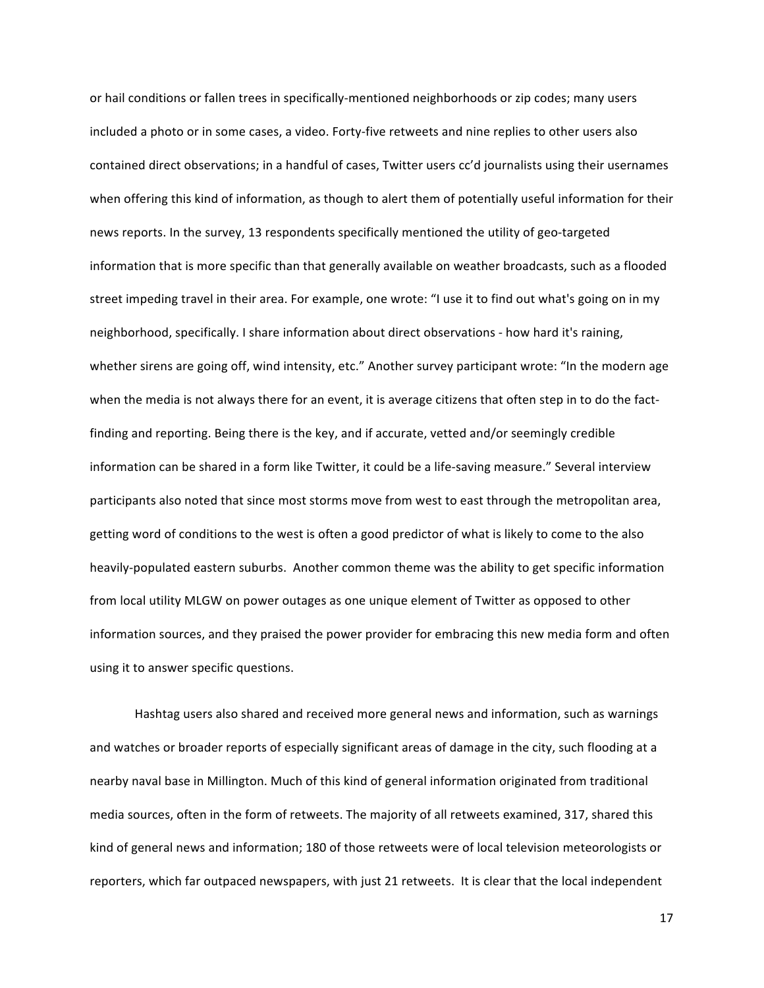or hail conditions or fallen trees in specifically-mentioned neighborhoods or zip codes; many users included a photo or in some cases, a video. Forty-five retweets and nine replies to other users also contained direct observations; in a handful of cases, Twitter users cc'd journalists using their usernames when offering this kind of information, as though to alert them of potentially useful information for their news reports. In the survey, 13 respondents specifically mentioned the utility of geo-targeted information that is more specific than that generally available on weather broadcasts, such as a flooded street impeding travel in their area. For example, one wrote: "I use it to find out what's going on in my neighborhood, specifically. I share information about direct observations - how hard it's raining, whether sirens are going off, wind intensity, etc." Another survey participant wrote: "In the modern age when the media is not always there for an event, it is average citizens that often step in to do the factfinding and reporting. Being there is the key, and if accurate, vetted and/or seemingly credible information can be shared in a form like Twitter, it could be a life-saving measure." Several interview participants also noted that since most storms move from west to east through the metropolitan area, getting word of conditions to the west is often a good predictor of what is likely to come to the also heavily-populated eastern suburbs. Another common theme was the ability to get specific information from local utility MLGW on power outages as one unique element of Twitter as opposed to other information sources, and they praised the power provider for embracing this new media form and often using it to answer specific questions.

Hashtag users also shared and received more general news and information, such as warnings and watches or broader reports of especially significant areas of damage in the city, such flooding at a nearby naval base in Millington. Much of this kind of general information originated from traditional media sources, often in the form of retweets. The majority of all retweets examined, 317, shared this kind of general news and information; 180 of those retweets were of local television meteorologists or reporters, which far outpaced newspapers, with just 21 retweets. It is clear that the local independent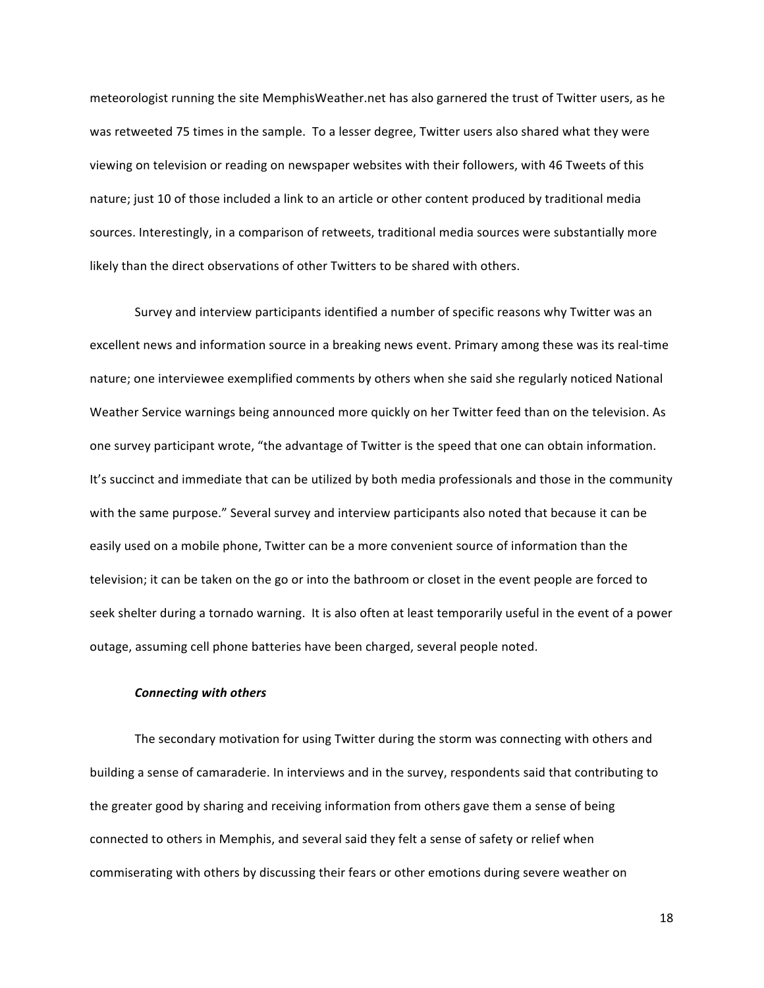meteorologist running the site MemphisWeather.net has also garnered the trust of Twitter users, as he was retweeted 75 times in the sample. To a lesser degree, Twitter users also shared what they were viewing on television or reading on newspaper websites with their followers, with 46 Tweets of this nature; just 10 of those included a link to an article or other content produced by traditional media sources. Interestingly, in a comparison of retweets, traditional media sources were substantially more likely than the direct observations of other Twitters to be shared with others.

Survey and interview participants identified a number of specific reasons why Twitter was an excellent news and information source in a breaking news event. Primary among these was its real-time nature; one interviewee exemplified comments by others when she said she regularly noticed National Weather Service warnings being announced more quickly on her Twitter feed than on the television. As one survey participant wrote, "the advantage of Twitter is the speed that one can obtain information. It's succinct and immediate that can be utilized by both media professionals and those in the community with the same purpose." Several survey and interview participants also noted that because it can be easily used on a mobile phone, Twitter can be a more convenient source of information than the television; it can be taken on the go or into the bathroom or closet in the event people are forced to seek shelter during a tornado warning. It is also often at least temporarily useful in the event of a power outage, assuming cell phone batteries have been charged, several people noted.

## *Connecting'with'others'*

The secondary motivation for using Twitter during the storm was connecting with others and building a sense of camaraderie. In interviews and in the survey, respondents said that contributing to the greater good by sharing and receiving information from others gave them a sense of being connected to others in Memphis, and several said they felt a sense of safety or relief when commiserating with others by discussing their fears or other emotions during severe weather on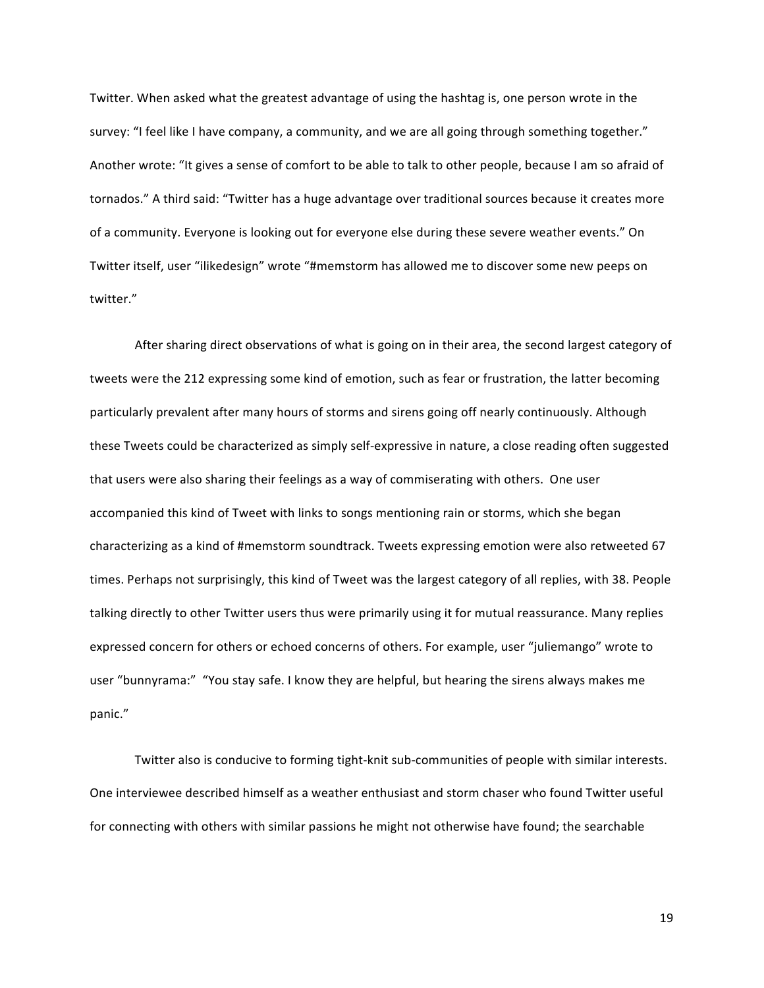Twitter. When asked what the greatest advantage of using the hashtag is, one person wrote in the survey: "I feel like I have company, a community, and we are all going through something together." Another wrote: "It gives a sense of comfort to be able to talk to other people, because I am so afraid of tornados." A third said: "Twitter has a huge advantage over traditional sources because it creates more of a community. Everyone is looking out for everyone else during these severe weather events." On Twitter itself, user "ilikedesign" wrote "#memstorm has allowed me to discover some new peeps on twitter."

After sharing direct observations of what is going on in their area, the second largest category of tweets were the 212 expressing some kind of emotion, such as fear or frustration, the latter becoming particularly prevalent after many hours of storms and sirens going off nearly continuously. Although these Tweets could be characterized as simply self-expressive in nature, a close reading often suggested that users were also sharing their feelings as a way of commiserating with others. One user accompanied this kind of Tweet with links to songs mentioning rain or storms, which she began characterizing as a kind of #memstorm soundtrack. Tweets expressing emotion were also retweeted 67 times. Perhaps not surprisingly, this kind of Tweet was the largest category of all replies, with 38. People talking directly to other Twitter users thus were primarily using it for mutual reassurance. Many replies expressed concern for others or echoed concerns of others. For example, user "juliemango" wrote to user "bunnyrama:" "You stay safe. I know they are helpful, but hearing the sirens always makes me panic."

Twitter also is conducive to forming tight-knit sub-communities of people with similar interests. One interviewee described himself as a weather enthusiast and storm chaser who found Twitter useful for connecting with others with similar passions he might not otherwise have found; the searchable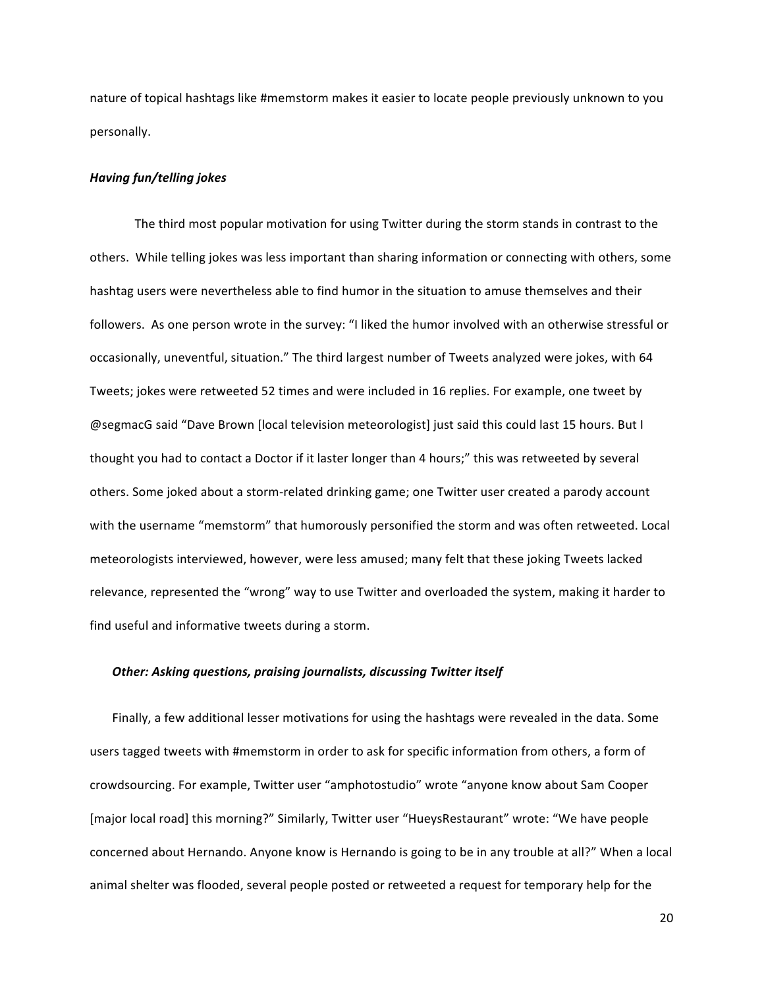nature of topical hashtags like #memstorm makes it easier to locate people previously unknown to you personally.

## *Having'fun/telling'jokes*

The third most popular motivation for using Twitter during the storm stands in contrast to the others. While telling jokes was less important than sharing information or connecting with others, some hashtag users were nevertheless able to find humor in the situation to amuse themselves and their followers. As one person wrote in the survey: "I liked the humor involved with an otherwise stressful or occasionally, uneventful, situation." The third largest number of Tweets analyzed were jokes, with 64 Tweets; jokes were retweeted 52 times and were included in 16 replies. For example, one tweet by @segmacG said "Dave Brown [local television meteorologist] just said this could last 15 hours. But I thought you had to contact a Doctor if it laster longer than 4 hours;" this was retweeted by several others. Some joked about a storm-related drinking game; one Twitter user created a parody account with the username "memstorm" that humorously personified the storm and was often retweeted. Local meteorologists interviewed, however, were less amused; many felt that these joking Tweets lacked relevance, represented the "wrong" way to use Twitter and overloaded the system, making it harder to find useful and informative tweets during a storm.

#### **Other: Asking questions, praising journalists, discussing Twitter itself**

Finally, a few additional lesser motivations for using the hashtags were revealed in the data. Some users tagged tweets with #memstorm in order to ask for specific information from others, a form of crowdsourcing. For example, Twitter user "amphotostudio" wrote "anyone know about Sam Cooper" [major local road] this morning?" Similarly, Twitter user "HueysRestaurant" wrote: "We have people concerned about Hernando. Anyone know is Hernando is going to be in any trouble at all?" When a local animal shelter was flooded, several people posted or retweeted a request for temporary help for the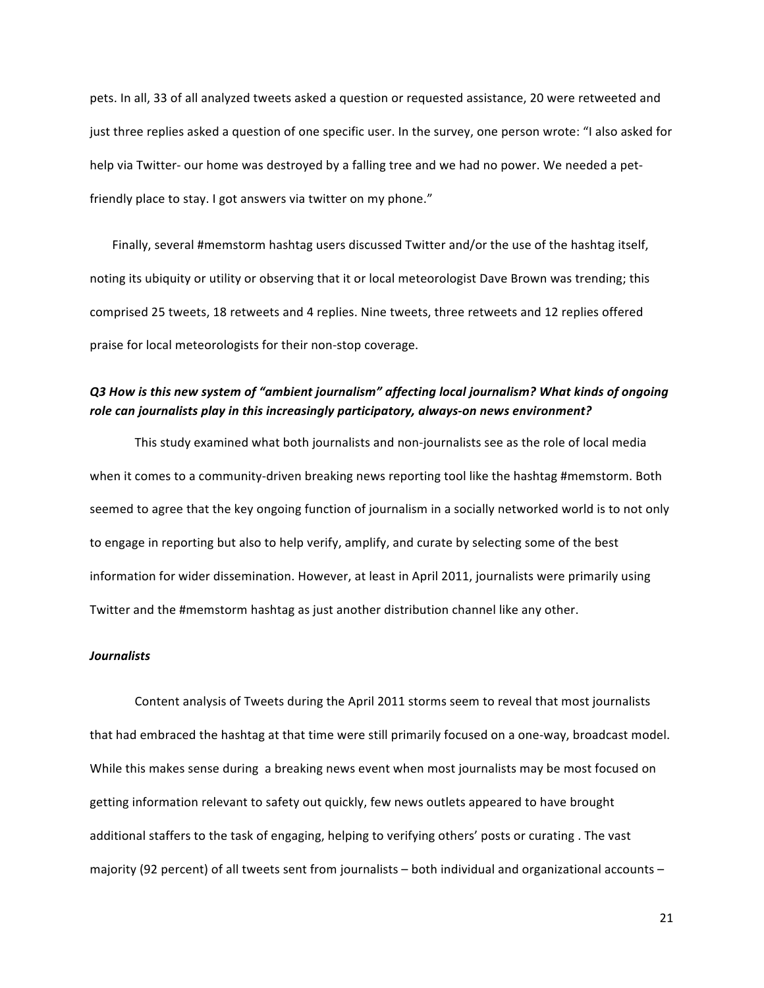pets. In all, 33 of all analyzed tweets asked a question or requested assistance, 20 were retweeted and just three replies asked a question of one specific user. In the survey, one person wrote: "I also asked for help via Twitter- our home was destroyed by a falling tree and we had no power. We needed a petfriendly place to stay. I got answers via twitter on my phone."

Finally, several #memstorm hashtag users discussed Twitter and/or the use of the hashtag itself, noting its ubiquity or utility or observing that it or local meteorologist Dave Brown was trending; this comprised 25 tweets, 18 retweets and 4 replies. Nine tweets, three retweets and 12 replies offered praise for local meteorologists for their non-stop coverage.

# *Q3'How'is'this'new'system'of'"ambient'journalism"'affecting'local'journalism?'What'kinds'of'ongoing'* role can journalists play in this increasingly participatory, always-on news environment?

This study examined what both journalists and non-journalists see as the role of local media when it comes to a community-driven breaking news reporting tool like the hashtag #memstorm. Both seemed to agree that the key ongoing function of journalism in a socially networked world is to not only to engage in reporting but also to help verify, amplify, and curate by selecting some of the best information for wider dissemination. However, at least in April 2011, journalists were primarily using Twitter and the #memstorm hashtag as just another distribution channel like any other.

## *Journalists*

Content analysis of Tweets during the April 2011 storms seem to reveal that most journalists that had embraced the hashtag at that time were still primarily focused on a one-way, broadcast model. While this makes sense during a breaking news event when most journalists may be most focused on getting information relevant to safety out quickly, few news outlets appeared to have brought additional staffers to the task of engaging, helping to verifying others' posts or curating. The vast majority (92 percent) of all tweets sent from journalists – both individual and organizational accounts –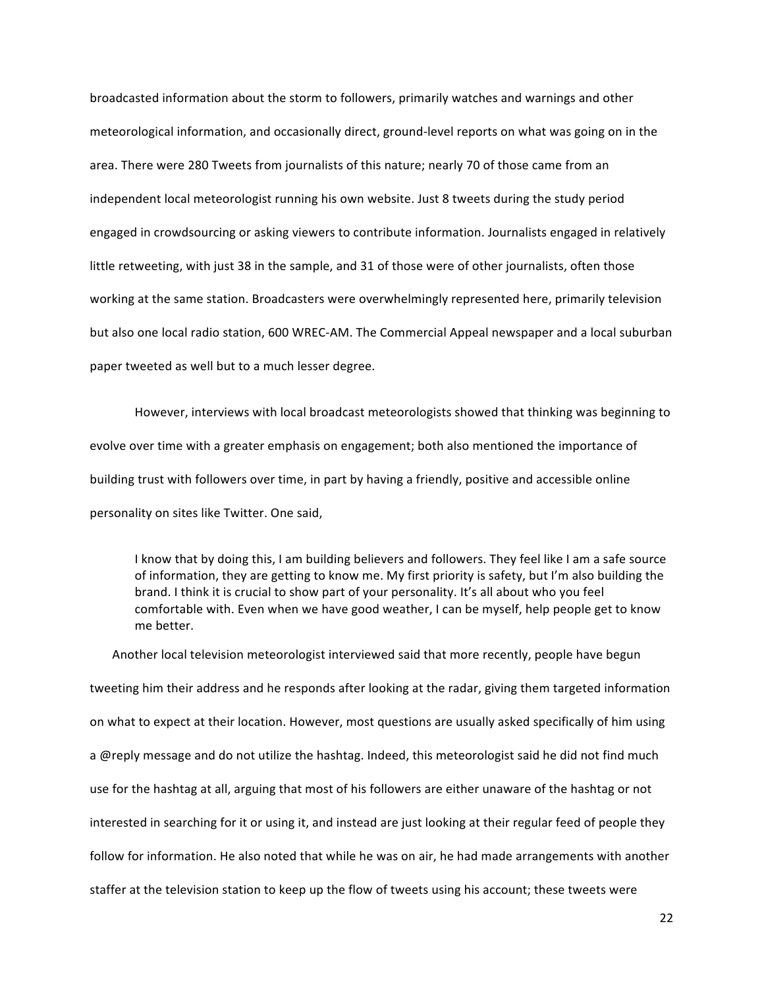broadcasted information about the storm to followers, primarily watches and warnings and other meteorological information, and occasionally direct, ground-level reports on what was going on in the area. There were 280 Tweets from journalists of this nature; nearly 70 of those came from an independent local meteorologist running his own website. Just 8 tweets during the study period engaged in crowdsourcing or asking viewers to contribute information. Journalists engaged in relatively little retweeting, with just 38 in the sample, and 31 of those were of other journalists, often those working at the same station. Broadcasters were overwhelmingly represented here, primarily television but also one local radio station, 600 WREC-AM. The Commercial Appeal newspaper and a local suburban paper tweeted as well but to a much lesser degree.

However, interviews with local broadcast meteorologists showed that thinking was beginning to evolve over time with a greater emphasis on engagement; both also mentioned the importance of building trust with followers over time, in part by having a friendly, positive and accessible online personality on sites like Twitter. One said,

I know that by doing this, I am building believers and followers. They feel like I am a safe source of information, they are getting to know me. My first priority is safety, but I'm also building the brand. I think it is crucial to show part of your personality. It's all about who you feel comfortable with. Even when we have good weather, I can be myself, help people get to know me better.

Another local television meteorologist interviewed said that more recently, people have begun tweeting him their address and he responds after looking at the radar, giving them targeted information on what to expect at their location. However, most questions are usually asked specifically of him using a @reply message and do not utilize the hashtag. Indeed, this meteorologist said he did not find much use for the hashtag at all, arguing that most of his followers are either unaware of the hashtag or not interested in searching for it or using it, and instead are just looking at their regular feed of people they follow for information. He also noted that while he was on air, he had made arrangements with another staffer at the television station to keep up the flow of tweets using his account; these tweets were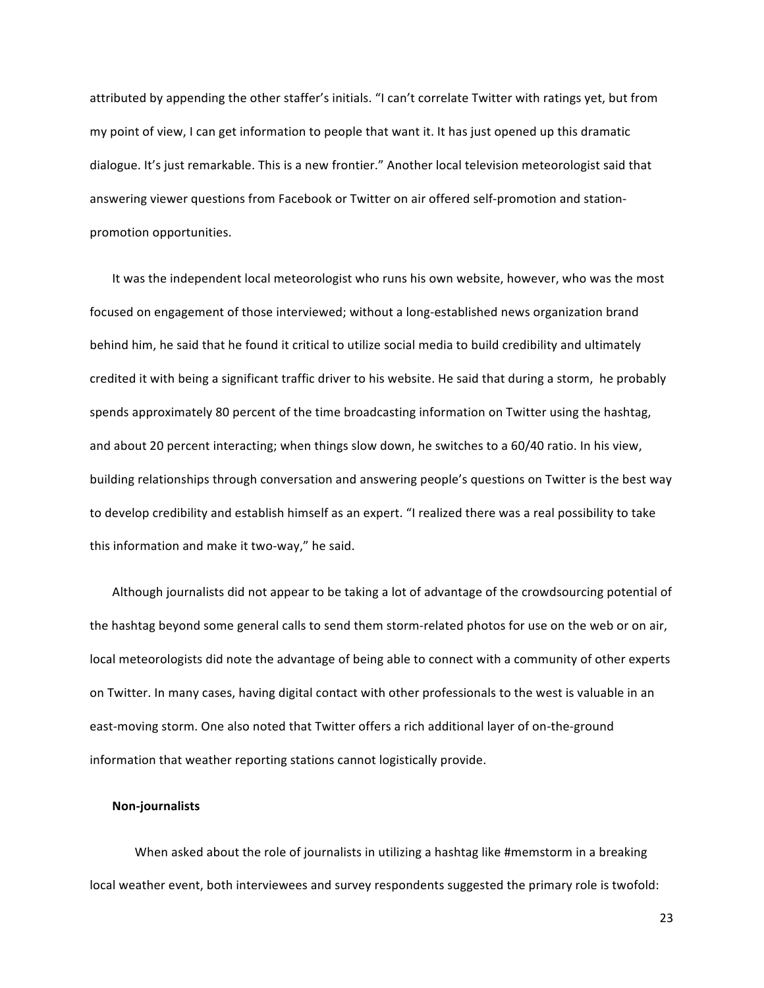attributed by appending the other staffer's initials. "I can't correlate Twitter with ratings yet, but from my point of view, I can get information to people that want it. It has just opened up this dramatic dialogue. It's just remarkable. This is a new frontier." Another local television meteorologist said that answering viewer questions from Facebook or Twitter on air offered self-promotion and stationpromotion opportunities.

It was the independent local meteorologist who runs his own website, however, who was the most focused on engagement of those interviewed; without a long-established news organization brand behind him, he said that he found it critical to utilize social media to build credibility and ultimately credited it with being a significant traffic driver to his website. He said that during a storm, he probably spends approximately 80 percent of the time broadcasting information on Twitter using the hashtag, and about 20 percent interacting; when things slow down, he switches to a 60/40 ratio. In his view, building relationships through conversation and answering people's questions on Twitter is the best way to develop credibility and establish himself as an expert. "I realized there was a real possibility to take this information and make it two-way," he said.

Although journalists did not appear to be taking a lot of advantage of the crowdsourcing potential of the hashtag beyond some general calls to send them storm-related photos for use on the web or on air, local meteorologists did note the advantage of being able to connect with a community of other experts on Twitter. In many cases, having digital contact with other professionals to the west is valuable in an east-moving storm. One also noted that Twitter offers a rich additional layer of on-the-ground information that weather reporting stations cannot logistically provide.

#### **Non3journalists**

When asked about the role of journalists in utilizing a hashtag like #memstorm in a breaking local weather event, both interviewees and survey respondents suggested the primary role is twofold: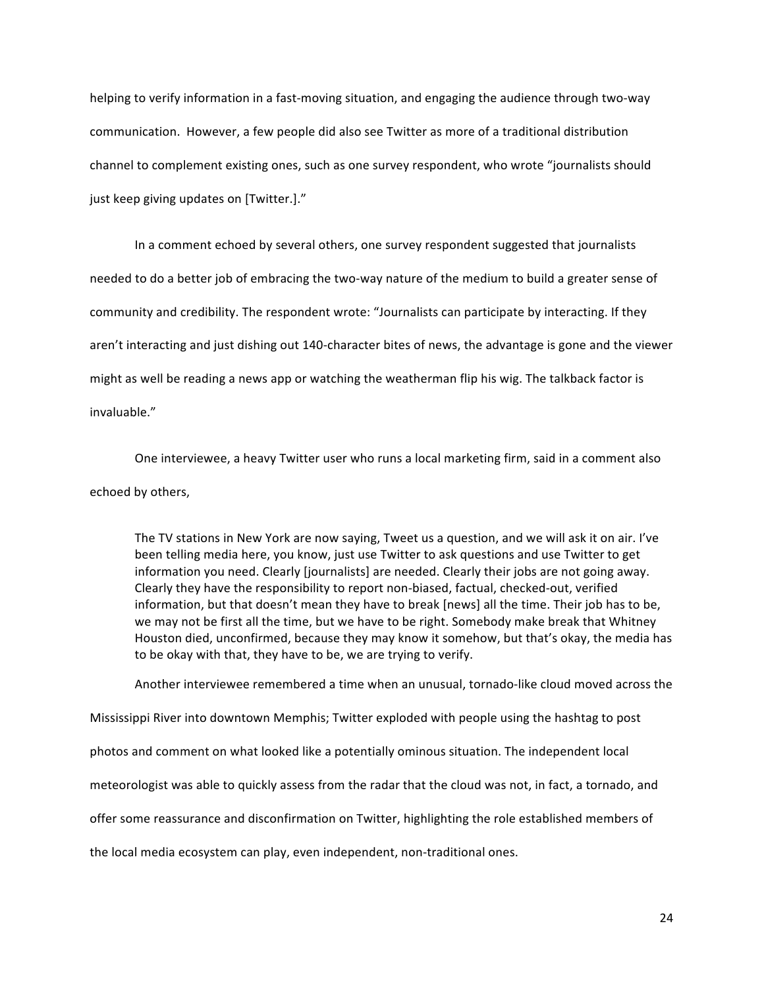helping to verify information in a fast-moving situation, and engaging the audience through two-way communication. However, a few people did also see Twitter as more of a traditional distribution channel to complement existing ones, such as one survey respondent, who wrote "journalists should just keep giving updates on [Twitter.]."

In a comment echoed by several others, one survey respondent suggested that journalists needed to do a better job of embracing the two-way nature of the medium to build a greater sense of community and credibility. The respondent wrote: "Journalists can participate by interacting. If they aren't interacting and just dishing out 140-character bites of news, the advantage is gone and the viewer might as well be reading a news app or watching the weatherman flip his wig. The talkback factor is invaluable."

One interviewee, a heavy Twitter user who runs a local marketing firm, said in a comment also echoed by others,

The TV stations in New York are now saying, Tweet us a question, and we will ask it on air. I've been telling media here, you know, just use Twitter to ask questions and use Twitter to get information you need. Clearly [journalists] are needed. Clearly their jobs are not going away. Clearly they have the responsibility to report non-biased, factual, checked-out, verified information, but that doesn't mean they have to break [news] all the time. Their job has to be, we may not be first all the time, but we have to be right. Somebody make break that Whitney Houston died, unconfirmed, because they may know it somehow, but that's okay, the media has to be okay with that, they have to be, we are trying to verify.

Another interviewee remembered a time when an unusual, tornado-like cloud moved across the

Mississippi River into downtown Memphis; Twitter exploded with people using the hashtag to post

photos and comment on what looked like a potentially ominous situation. The independent local

meteorologist was able to quickly assess from the radar that the cloud was not, in fact, a tornado, and

offer some reassurance and disconfirmation on Twitter, highlighting the role established members of

the local media ecosystem can play, even independent, non-traditional ones.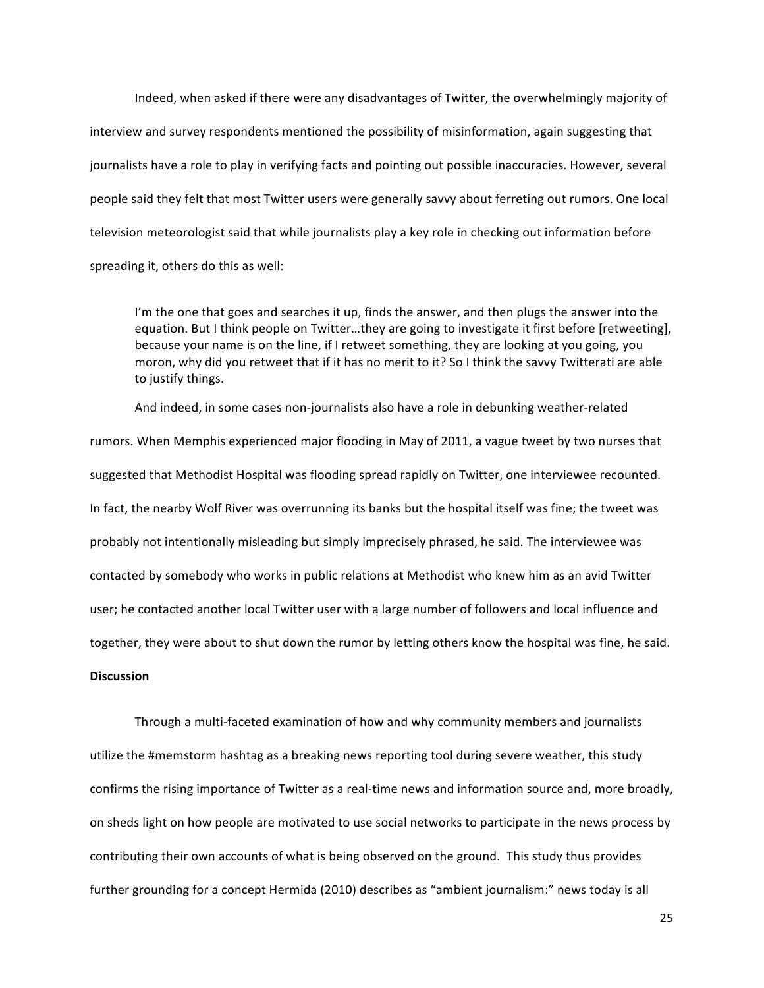Indeed, when asked if there were any disadvantages of Twitter, the overwhelmingly majority of interview and survey respondents mentioned the possibility of misinformation, again suggesting that journalists have a role to play in verifying facts and pointing out possible inaccuracies. However, several people said they felt that most Twitter users were generally savvy about ferreting out rumors. One local television meteorologist said that while journalists play a key role in checking out information before spreading it, others do this as well:

I'm the one that goes and searches it up, finds the answer, and then plugs the answer into the equation. But I think people on Twitter...they are going to investigate it first before [retweeting], because your name is on the line, if I retweet something, they are looking at you going, you moron, why did you retweet that if it has no merit to it? So I think the savvy Twitterati are able to justify things.

And indeed, in some cases non-journalists also have a role in debunking weather-related rumors. When Memphis experienced major flooding in May of 2011, a vague tweet by two nurses that suggested that Methodist Hospital was flooding spread rapidly on Twitter, one interviewee recounted. In fact, the nearby Wolf River was overrunning its banks but the hospital itself was fine; the tweet was probably not intentionally misleading but simply imprecisely phrased, he said. The interviewee was contacted by somebody who works in public relations at Methodist who knew him as an avid Twitter user; he contacted another local Twitter user with a large number of followers and local influence and together, they were about to shut down the rumor by letting others know the hospital was fine, he said. **Discussion**

Through a multi-faceted examination of how and why community members and journalists utilize the #memstorm hashtag as a breaking news reporting tool during severe weather, this study confirms the rising importance of Twitter as a real-time news and information source and, more broadly, on sheds light on how people are motivated to use social networks to participate in the news process by contributing their own accounts of what is being observed on the ground. This study thus provides further grounding for a concept Hermida (2010) describes as "ambient journalism:" news today is all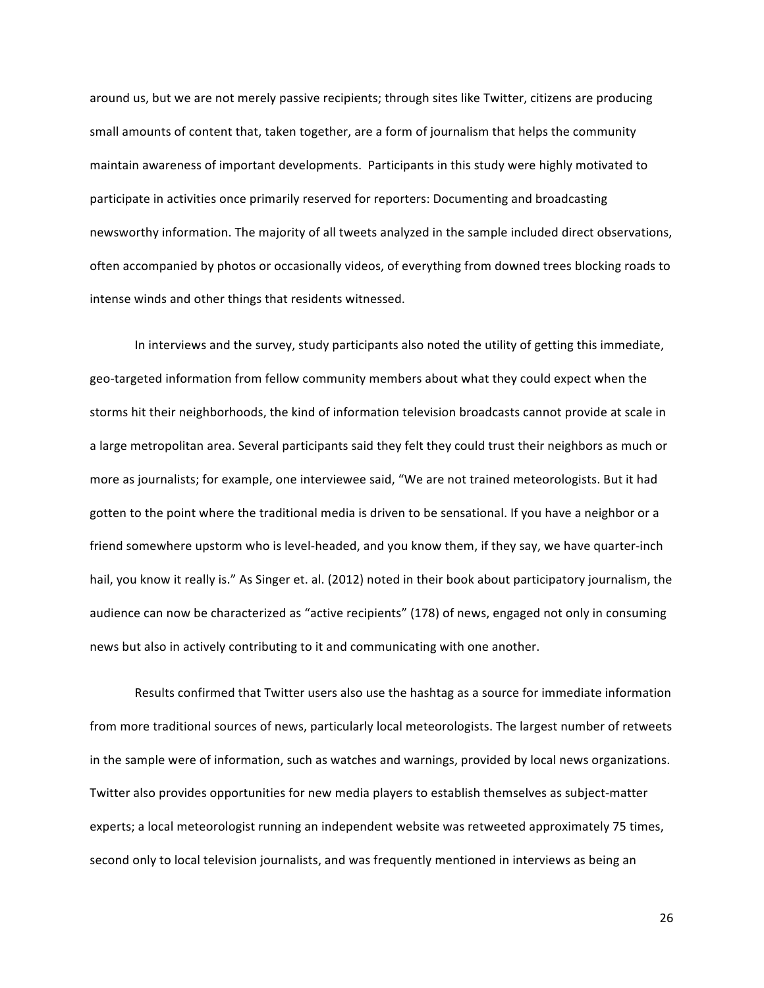around us, but we are not merely passive recipients; through sites like Twitter, citizens are producing small amounts of content that, taken together, are a form of journalism that helps the community maintain awareness of important developments. Participants in this study were highly motivated to participate in activities once primarily reserved for reporters: Documenting and broadcasting newsworthy information. The majority of all tweets analyzed in the sample included direct observations, often accompanied by photos or occasionally videos, of everything from downed trees blocking roads to intense winds and other things that residents witnessed.

In interviews and the survey, study participants also noted the utility of getting this immediate, geo-targeted information from fellow community members about what they could expect when the storms hit their neighborhoods, the kind of information television broadcasts cannot provide at scale in a large metropolitan area. Several participants said they felt they could trust their neighbors as much or more as journalists; for example, one interviewee said, "We are not trained meteorologists. But it had gotten to the point where the traditional media is driven to be sensational. If you have a neighbor or a friend somewhere upstorm who is level-headed, and you know them, if they say, we have quarter-inch hail, you know it really is." As Singer et. al. (2012) noted in their book about participatory journalism, the audience can now be characterized as "active recipients" (178) of news, engaged not only in consuming news but also in actively contributing to it and communicating with one another.

Results confirmed that Twitter users also use the hashtag as a source for immediate information from more traditional sources of news, particularly local meteorologists. The largest number of retweets in the sample were of information, such as watches and warnings, provided by local news organizations. Twitter also provides opportunities for new media players to establish themselves as subject-matter experts; a local meteorologist running an independent website was retweeted approximately 75 times, second only to local television journalists, and was frequently mentioned in interviews as being an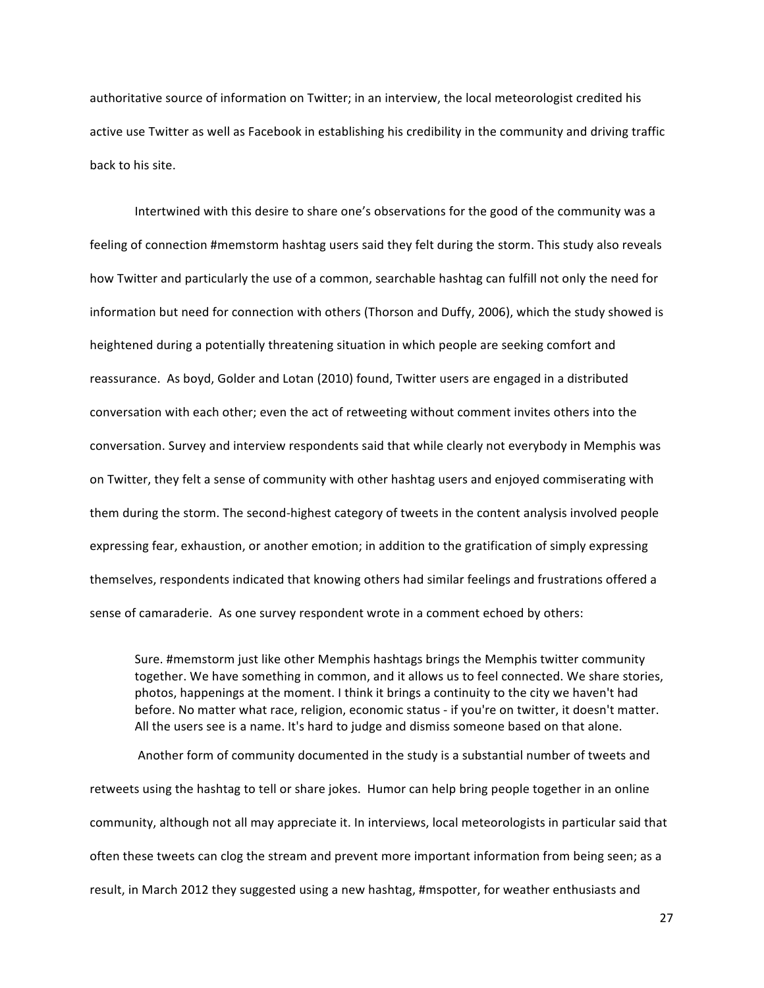authoritative source of information on Twitter; in an interview, the local meteorologist credited his active use Twitter as well as Facebook in establishing his credibility in the community and driving traffic back to his site.

Intertwined with this desire to share one's observations for the good of the community was a feeling of connection #memstorm hashtag users said they felt during the storm. This study also reveals how Twitter and particularly the use of a common, searchable hashtag can fulfill not only the need for information but need for connection with others (Thorson and Duffy, 2006), which the study showed is heightened during a potentially threatening situation in which people are seeking comfort and reassurance. As boyd, Golder and Lotan (2010) found, Twitter users are engaged in a distributed conversation with each other; even the act of retweeting without comment invites others into the conversation. Survey and interview respondents said that while clearly not everybody in Memphis was on Twitter, they felt a sense of community with other hashtag users and enjoyed commiserating with them during the storm. The second-highest category of tweets in the content analysis involved people expressing fear, exhaustion, or another emotion; in addition to the gratification of simply expressing themselves, respondents indicated that knowing others had similar feelings and frustrations offered a sense of camaraderie. As one survey respondent wrote in a comment echoed by others:

Sure. #memstorm just like other Memphis hashtags brings the Memphis twitter community together. We have something in common, and it allows us to feel connected. We share stories, photos, happenings at the moment. I think it brings a continuity to the city we haven't had before. No matter what race, religion, economic status - if you're on twitter, it doesn't matter. All the users see is a name. It's hard to judge and dismiss someone based on that alone.

Another form of community documented in the study is a substantial number of tweets and retweets using the hashtag to tell or share jokes. Humor can help bring people together in an online community, although not all may appreciate it. In interviews, local meteorologists in particular said that often these tweets can clog the stream and prevent more important information from being seen; as a result, in March 2012 they suggested using a new hashtag, #mspotter, for weather enthusiasts and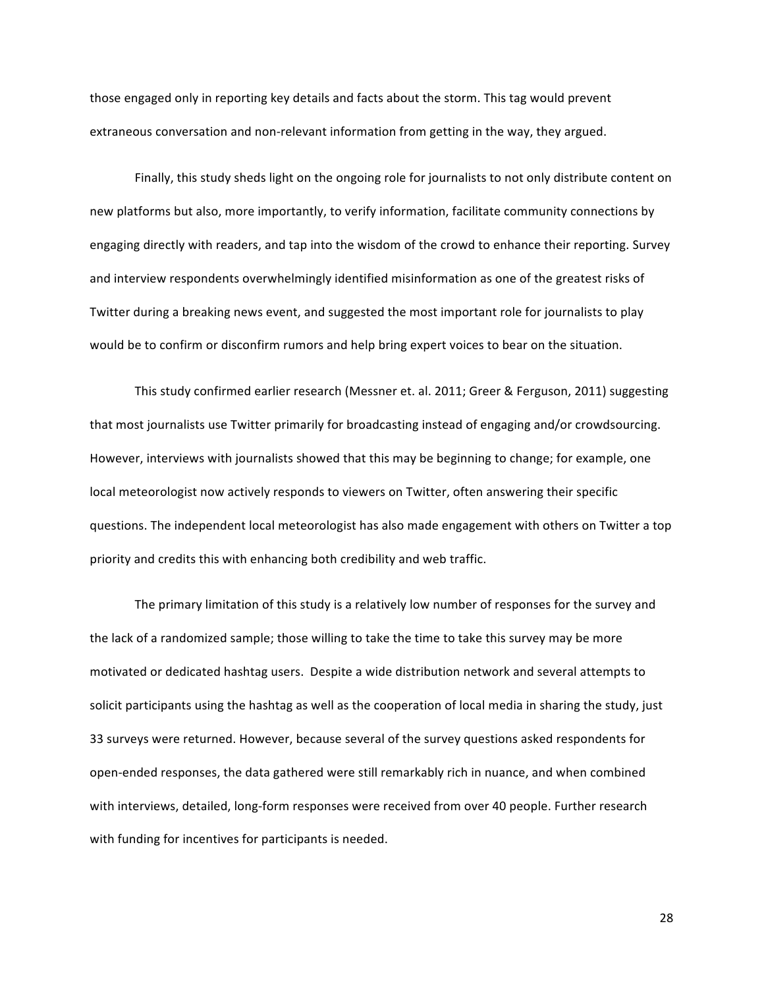those engaged only in reporting key details and facts about the storm. This tag would prevent extraneous conversation and non-relevant information from getting in the way, they argued.

Finally, this study sheds light on the ongoing role for journalists to not only distribute content on new platforms but also, more importantly, to verify information, facilitate community connections by engaging directly with readers, and tap into the wisdom of the crowd to enhance their reporting. Survey and interview respondents overwhelmingly identified misinformation as one of the greatest risks of Twitter during a breaking news event, and suggested the most important role for journalists to play would be to confirm or disconfirm rumors and help bring expert voices to bear on the situation.

This study confirmed earlier research (Messner et. al. 2011; Greer & Ferguson, 2011) suggesting that most journalists use Twitter primarily for broadcasting instead of engaging and/or crowdsourcing. However, interviews with journalists showed that this may be beginning to change; for example, one local meteorologist now actively responds to viewers on Twitter, often answering their specific questions. The independent local meteorologist has also made engagement with others on Twitter a top priority and credits this with enhancing both credibility and web traffic.

The primary limitation of this study is a relatively low number of responses for the survey and the lack of a randomized sample; those willing to take the time to take this survey may be more motivated or dedicated hashtag users. Despite a wide distribution network and several attempts to solicit participants using the hashtag as well as the cooperation of local media in sharing the study, just 33 surveys were returned. However, because several of the survey questions asked respondents for open-ended responses, the data gathered were still remarkably rich in nuance, and when combined with interviews, detailed, long-form responses were received from over 40 people. Further research with funding for incentives for participants is needed.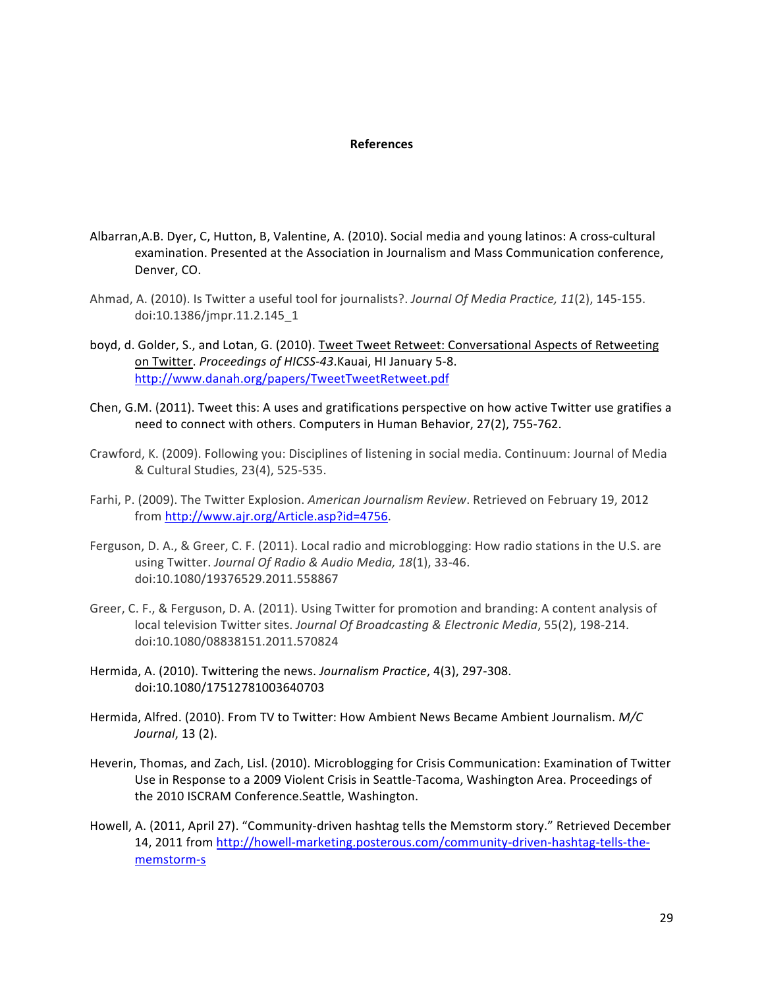## **References**

- Albarran,A.B. Dyer, C, Hutton, B, Valentine, A. (2010). Social media and young latinos: A cross-cultural examination. Presented at the Association in Journalism and Mass Communication conference, Denver, CO.
- Ahmad, A. (2010). Is Twitter a useful tool for journalists?. *Journal Of Media Practice, 11*(2), 145-155. doi:10.1386/jmpr.11.2.145\_1
- boyd, d. Golder, S., and Lotan, G. (2010). Tweet Tweet Retweet: Conversational Aspects of Retweeting on Twitter. Proceedings of HICSS-43.Kauai, HI January 5-8. http://www.danah.org/papers/TweetTweetRetweet.pdf
- Chen, G.M. (2011). Tweet this: A uses and gratifications perspective on how active Twitter use gratifies a need to connect with others. Computers in Human Behavior, 27(2), 755-762.
- Crawford, K. (2009). Following you: Disciplines of listening in social media. Continuum: Journal of Media & Cultural Studies, 23(4), 525-535.
- Farhi, P. (2009). The Twitter Explosion. American Journalism Review. Retrieved on February 19, 2012 from http://www.ajr.org/Article.asp?id=4756.
- Ferguson, D. A., & Greer, C. F. (2011). Local radio and microblogging: How radio stations in the U.S. are using Twitter. Journal Of Radio & Audio Media, 18(1), 33-46. doi:10.1080/19376529.2011.558867
- Greer, C. F., & Ferguson, D. A. (2011). Using Twitter for promotion and branding: A content analysis of local television Twitter sites. *Journal Of Broadcasting & Electronic Media*, 55(2), 198-214. doi:10.1080/08838151.2011.570824
- Hermida, A. (2010). Twittering the news. *Journalism Practice*, 4(3), 297-308. doi:10.1080/17512781003640703
- Hermida, Alfred. (2010). From TV to Twitter: How Ambient News Became Ambient Journalism. *M/C Journal*, 13 (2).
- Heverin, Thomas, and Zach, Lisl. (2010). Microblogging for Crisis Communication: Examination of Twitter Use in Response to a 2009 Violent Crisis in Seattle-Tacoma, Washington Area. Proceedings of the 2010 ISCRAM Conference.Seattle, Washington.
- Howell, A. (2011, April 27). "Community-driven hashtag tells the Memstorm story." Retrieved December 14, 2011 from http://howell-marketing.posterous.com/community-driven-hashtag-tells-thememstorm-s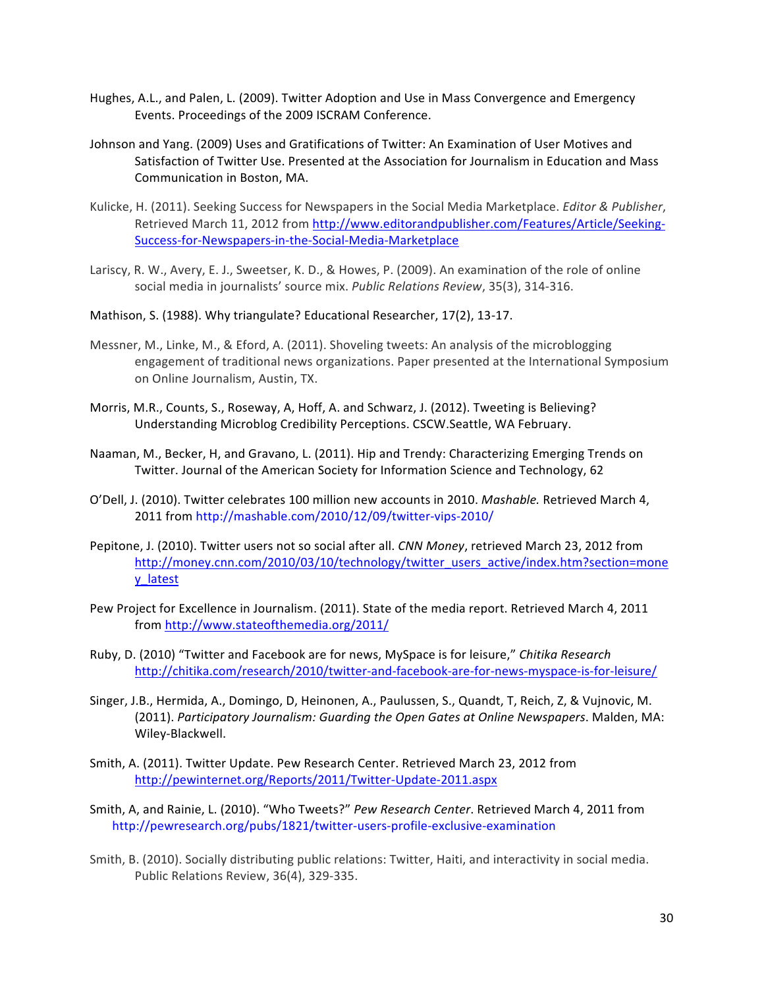- Hughes, A.L., and Palen, L. (2009). Twitter Adoption and Use in Mass Convergence and Emergency Events. Proceedings of the 2009 ISCRAM Conference.
- Johnson and Yang. (2009) Uses and Gratifications of Twitter: An Examination of User Motives and Satisfaction of Twitter Use. Presented at the Association for Journalism in Education and Mass Communication in Boston, MA.
- Kulicke, H. (2011). Seeking Success for Newspapers in the Social Media Marketplace. *Editor & Publisher*, Retrieved March 11, 2012 from http://www.editorandpublisher.com/Features/Article/Seeking-Success-for-Newspapers-in-the-Social-Media-Marketplace
- Lariscy, R. W., Avery, E. J., Sweetser, K. D., & Howes, P. (2009). An examination of the role of online social media in journalists' source mix. Public Relations Review, 35(3), 314-316.
- Mathison, S. (1988). Why triangulate? Educational Researcher, 17(2), 13-17.
- Messner, M., Linke, M., & Eford, A. (2011). Shoveling tweets: An analysis of the microblogging engagement of traditional news organizations. Paper presented at the International Symposium on Online Journalism, Austin, TX.
- Morris, M.R., Counts, S., Roseway, A, Hoff, A. and Schwarz, J. (2012). Tweeting is Believing? Understanding Microblog Credibility Perceptions. CSCW.Seattle, WA February.
- Naaman, M., Becker, H, and Gravano, L. (2011). Hip and Trendy: Characterizing Emerging Trends on Twitter. Journal of the American Society for Information Science and Technology, 62
- O'Dell, J. (2010). Twitter celebrates 100 million new accounts in 2010. Mashable. Retrieved March 4, 2011 from http://mashable.com/2010/12/09/twitter-vips-2010/
- Pepitone, J. (2010). Twitter users not so social after all. *CNN Money*, retrieved March 23, 2012 from http://money.cnn.com/2010/03/10/technology/twitter\_users\_active/index.htm?section=mone y\_latest
- Pew Project for Excellence in Journalism. (2011). State of the media report. Retrieved March 4, 2011 from"http://www.stateofthemedia.org/2011/
- Ruby,"D."(2010)""Twitter"and"Facebook"are"for"news,"MySpace"is"for"leisure," *Chitika\*Research* http://chitika.com/research/2010/twitter-and-facebook-are-for-news-myspace-is-for-leisure/
- Singer, J.B., Hermida, A., Domingo, D, Heinonen, A., Paulussen, S., Quandt, T, Reich, Z, & Vujnovic, M. (2011). Participatory Journalism: Guarding the Open Gates at Online Newspapers. Malden, MA: Wiley-Blackwell.
- Smith, A. (2011). Twitter Update. Pew Research Center. Retrieved March 23, 2012 from http://pewinternet.org/Reports/2011/Twitter-Update-2011.aspx
- Smith, A, and Rainie, L. (2010). "Who Tweets?" Pew Research Center. Retrieved March 4, 2011 from http://pewresearch.org/pubs/1821/twitter-users-profile-exclusive-examination
- Smith, B. (2010). Socially distributing public relations: Twitter, Haiti, and interactivity in social media. Public Relations Review, 36(4), 329-335.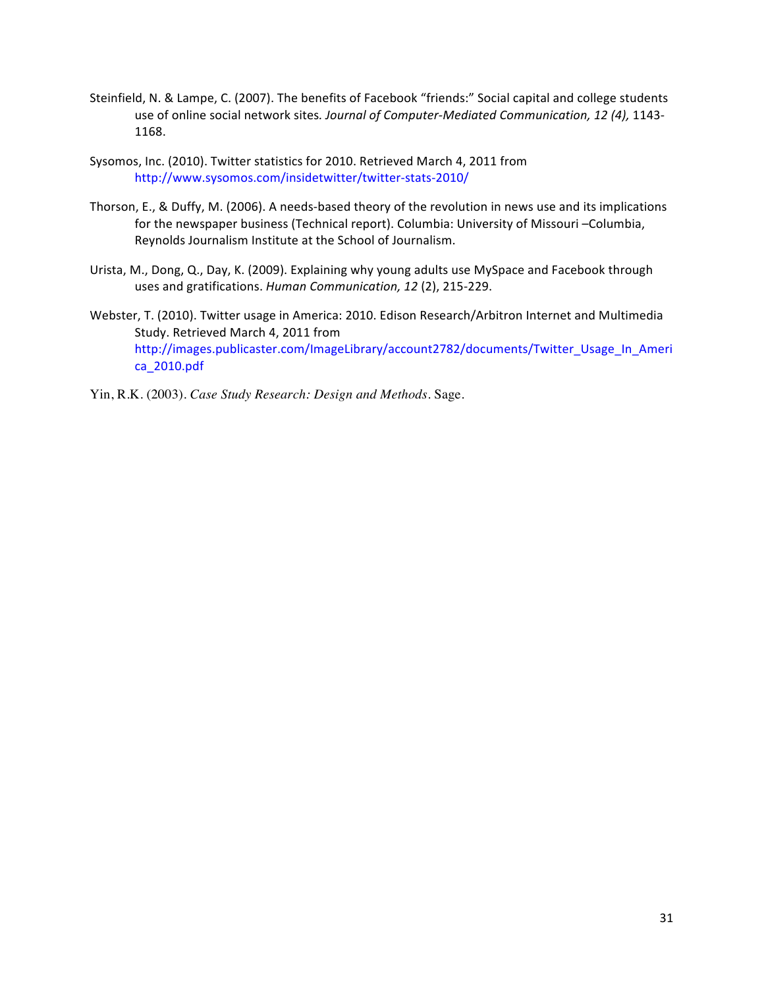- Steinfield, N. & Lampe, C. (2007). The benefits of Facebook "friends:" Social capital and college students use of online social network sites. Journal of Computer-Mediated Communication, 12 (4), 1143-1168.
- Sysomos, Inc. (2010). Twitter statistics for 2010. Retrieved March 4, 2011 from http://www.sysomos.com/insidetwitter/twitter-stats-2010/
- Thorson, E., & Duffy, M. (2006). A needs-based theory of the revolution in news use and its implications for the newspaper business (Technical report). Columbia: University of Missouri –Columbia, Reynolds Journalism Institute at the School of Journalism.
- Urista, M., Dong, Q., Day, K. (2009). Explaining why young adults use MySpace and Facebook through uses and gratifications. Human Communication, 12 (2), 215-229.
- Webster, T. (2010). Twitter usage in America: 2010. Edison Research/Arbitron Internet and Multimedia Study. Retrieved March 4, 2011 from http://images.publicaster.com/ImageLibrary/account2782/documents/Twitter\_Usage\_In\_Ameri ca\_2010.pdf
- Yin, R.K. (2003). *Case Study Research: Design and Methods.* Sage.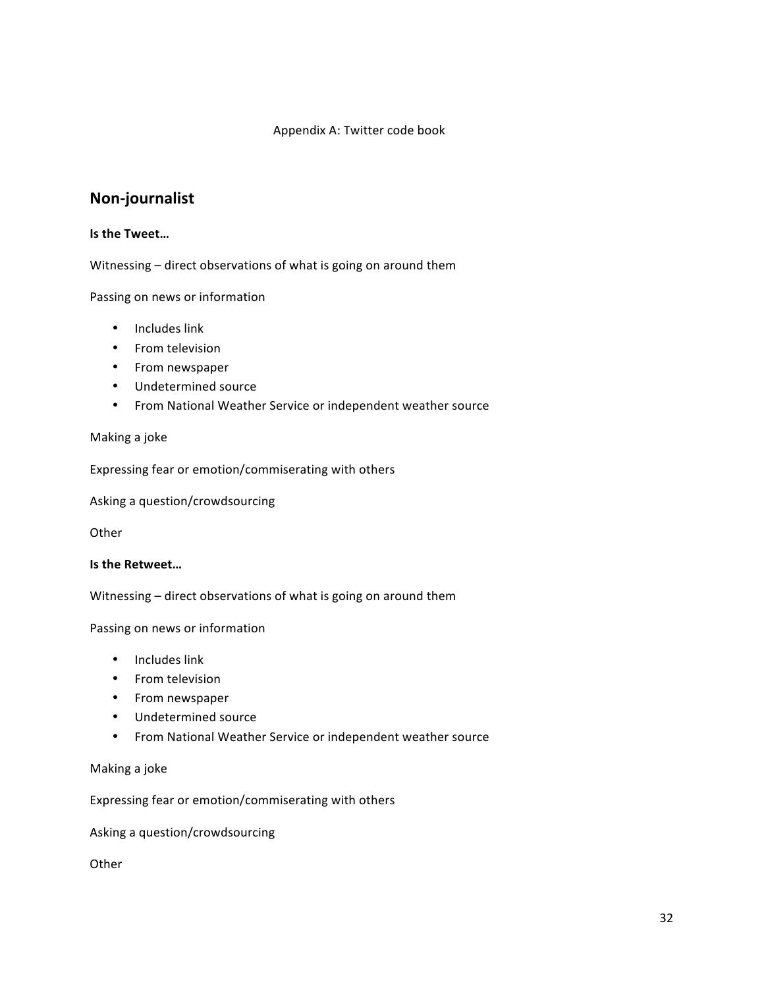## Appendix A: Twitter code book

# **Non3journalist**

## **Is the Tweet...**

Witnessing – direct observations of what is going on around them

Passing on news or information

- Includes link
- From television
- From newspaper
- Undetermined source
- From National Weather Service or independent weather source

## Making a joke

Expressing fear or emotion/commiserating with others

Asking a question/crowdsourcing

**Other** 

## **Is the Retweet...**

Witnessing – direct observations of what is going on around them

Passing on news or information

- Includes link
- From television
- From newspaper
- Undetermined source
- From National Weather Service or independent weather source

Making a joke

Expressing fear or emotion/commiserating with others

Asking a question/crowdsourcing

**Other**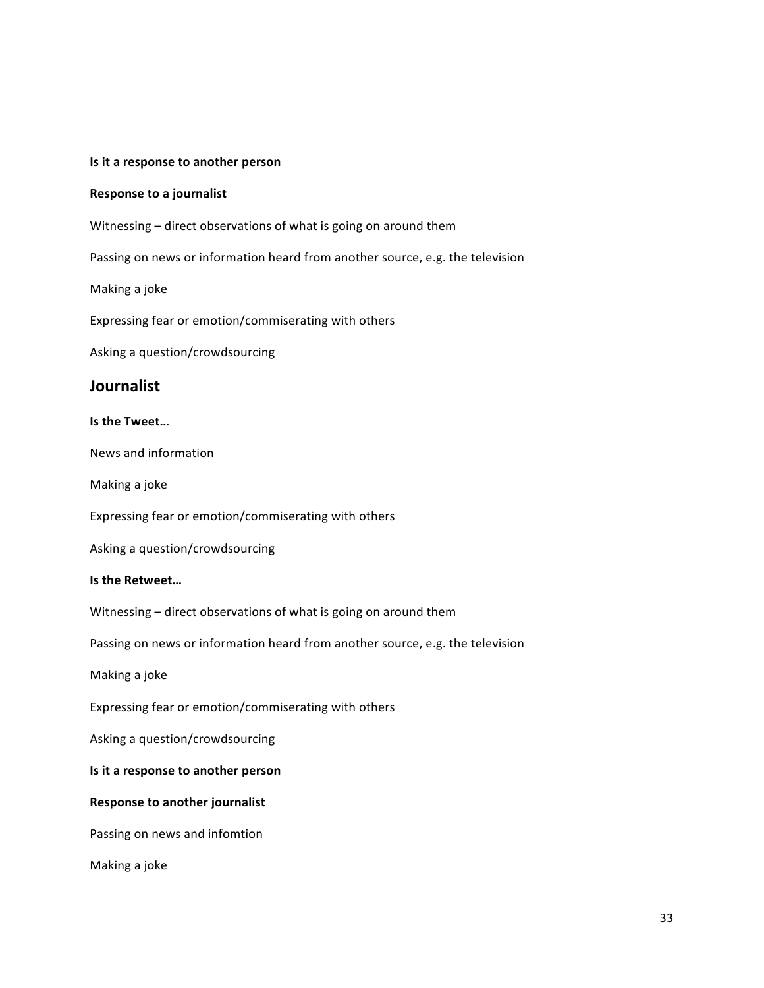## **Is it a response to another person**

## **Response to a journalist**

Witnessing – direct observations of what is going on around them

Passing on news or information heard from another source, e.g. the television

Making a joke

Expressing fear or emotion/commiserating with others

Asking a question/crowdsourcing

## **Journalist**

## **Is the Tweet...**

News and information

Making a joke

Expressing fear or emotion/commiserating with others

Asking a question/crowdsourcing

## **Is the Retweet...**

Witnessing – direct observations of what is going on around them

Passing on news or information heard from another source, e.g. the television

Making a joke

Expressing fear or emotion/commiserating with others

Asking a question/crowdsourcing

## **Is it a response to another person**

## **Response to another journalist**

Passing on news and infomtion

Making a joke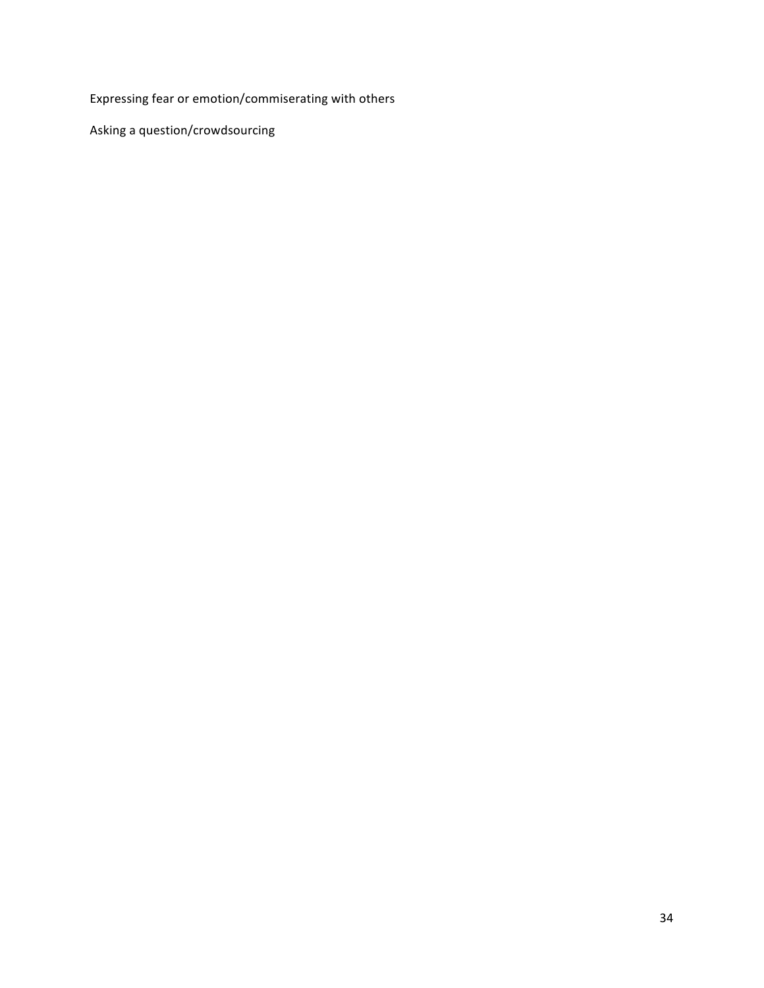Expressing fear or emotion/commiserating with others

Asking a question/crowdsourcing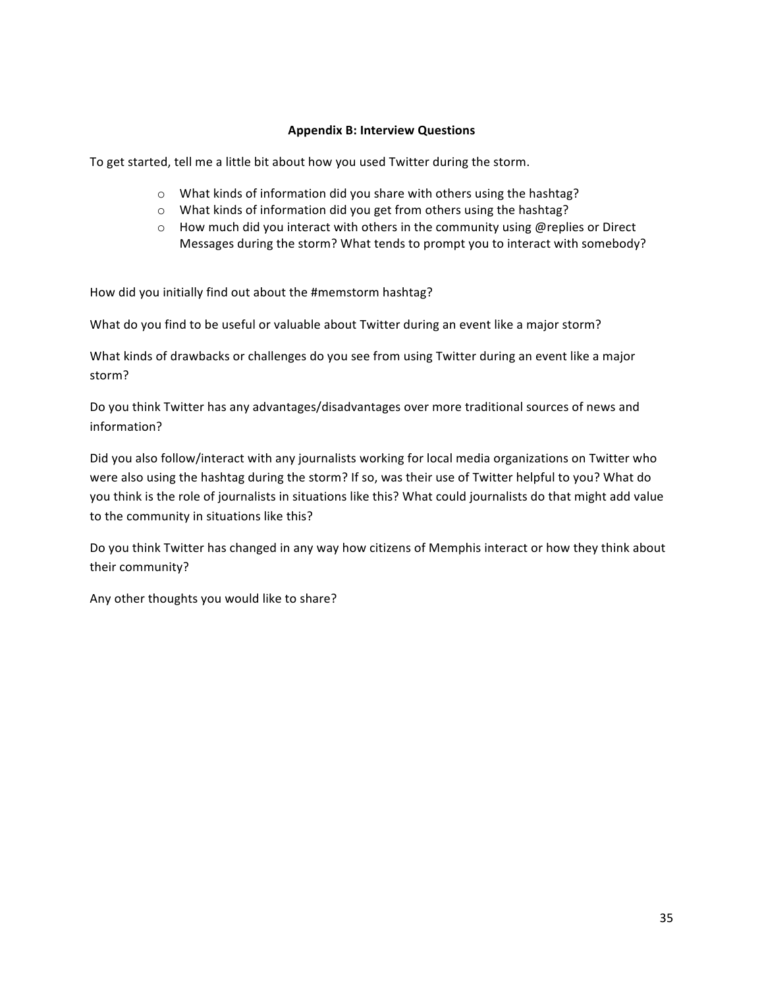## **Appendix B: Interview Questions**

To get started, tell me a little bit about how you used Twitter during the storm.

- $\circ$  What kinds of information did you share with others using the hashtag?
- o What kinds of information did you get from others using the hashtag?
- $\circ$  How much did you interact with others in the community using @replies or Direct Messages during the storm? What tends to prompt you to interact with somebody?

How did you initially find out about the #memstorm hashtag?

What do you find to be useful or valuable about Twitter during an event like a major storm?

What kinds of drawbacks or challenges do you see from using Twitter during an event like a major storm?

Do you think Twitter has any advantages/disadvantages over more traditional sources of news and information?

Did you also follow/interact with any journalists working for local media organizations on Twitter who were also using the hashtag during the storm? If so, was their use of Twitter helpful to you? What do you think is the role of journalists in situations like this? What could journalists do that might add value to the community in situations like this?

Do you think Twitter has changed in any way how citizens of Memphis interact or how they think about their community?

Any other thoughts you would like to share?